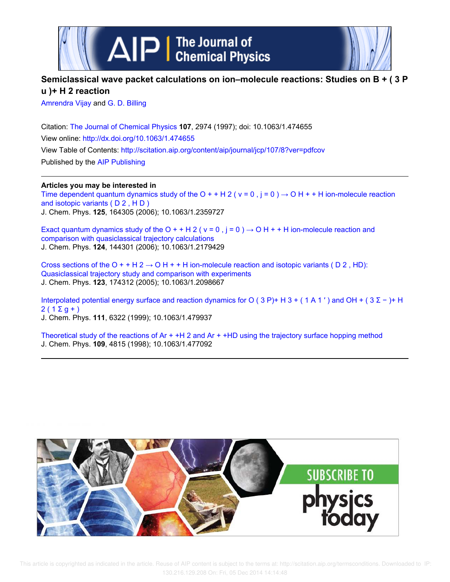



# **Semiclassical wave packet calculations on ion–molecule reactions: Studies on B + ( 3 P u )+ H 2 reaction**

Amrendra Vijay and G. D. Billing

Citation: The Journal of Chemical Physics **107**, 2974 (1997); doi: 10.1063/1.474655 View online: http://dx.doi.org/10.1063/1.474655 View Table of Contents: http://scitation.aip.org/content/aip/journal/jcp/107/8?ver=pdfcov Published by the AIP Publishing

# **Articles you may be interested in**

Time dependent quantum dynamics study of the O + + H 2 ( $v = 0$ ,  $j = 0$ )  $\rightarrow$  O H + + H ion-molecule reaction and isotopic variants ( D 2 , H D ) J. Chem. Phys. **125**, 164305 (2006); 10.1063/1.2359727

Exact quantum dynamics study of the O + + H 2 ( $v = 0$ ,  $j = 0$ )  $\rightarrow$  O H + + H ion-molecule reaction and comparison with quasiclassical trajectory calculations J. Chem. Phys. **124**, 144301 (2006); 10.1063/1.2179429

Cross sections of the O + + H 2  $\rightarrow$  O H + + H ion-molecule reaction and isotopic variants ( D 2 , HD): Quasiclassical trajectory study and comparison with experiments J. Chem. Phys. **123**, 174312 (2005); 10.1063/1.2098667

Interpolated potential energy surface and reaction dynamics for O (3 P)+ H 3 + (1 A 1') and OH + (3  $\Sigma$  – )+ H  $2(1 \Sigma q + )$ J. Chem. Phys. **111**, 6322 (1999); 10.1063/1.479937

Theoretical study of the reactions of  $Ar + H12$  and  $Ar + H1D$  using the trajectory surface hopping method J. Chem. Phys. **109**, 4815 (1998); 10.1063/1.477092

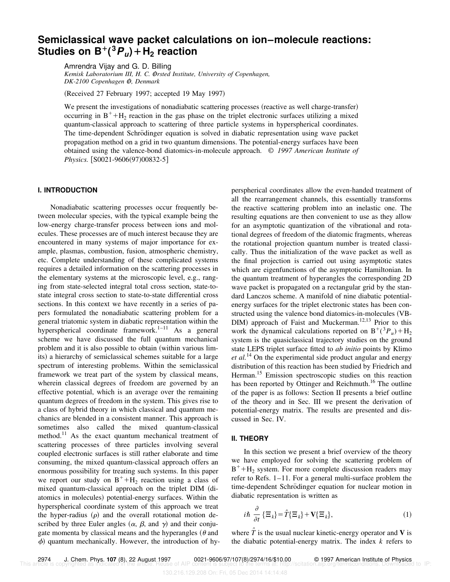# **Semiclassical wave packet calculations on ion–molecule reactions:**  $\mathsf{Student}(\mathsf{B}) = \mathsf{B}^+(\mathsf{B}\mathsf{P}_\mathsf{u}) + \mathsf{H}_2$  reaction

Amrendra Vijay and G. D. Billing *Kemisk Laboratorium III, H. C. O*"*rsted Institute, University of Copenhagen, DK-2100 Copenhagen O*" *, Denmark*

(Received 27 February 1997; accepted 19 May 1997)

We present the investigations of nonadiabatic scattering processes (reactive as well charge-transfer) occurring in  $B^+$ +H<sub>2</sub> reaction in the gas phase on the triplet electronic surfaces utilizing a mixed quantum-classical approach to scattering of three particle systems in hyperspherical coordinates. The time-dependent Schrödinger equation is solved in diabatic representation using wave packet propagation method on a grid in two quantum dimensions. The potential-energy surfaces have been obtained using the valence-bond diatomics-in-molecule approach. © *1997 American Institute of Physics.* [S0021-9606(97)00832-5]

# **I. INTRODUCTION**

Nonadiabatic scattering processes occur frequently between molecular species, with the typical example being the low-energy charge-transfer process between ions and molecules. These processes are of much interest because they are encountered in many systems of major importance for example, plasmas, combustion, fusion, atmospheric chemistry, etc. Complete understanding of these complicated systems requires a detailed information on the scattering processes in the elementary systems at the microscopic level, e.g., ranging from state-selected integral total cross section, state-tostate integral cross section to state-to-state differential cross sections. In this context we have recently in a series of papers formulated the nonadiabatic scattering problem for a general triatomic system in diabatic representation within the hyperspherical coordinate framework. $1-11$  As a general scheme we have discussed the full quantum mechanical problem and it is also possible to obtain (within various limits) a hierarchy of semiclassical schemes suitable for a large spectrum of interesting problems. Within the semiclassical framework we treat part of the system by classical means, wherein classical degrees of freedom are governed by an effective potential, which is an average over the remaining quantum degrees of freedom in the system. This gives rise to a class of hybrid theory in which classical and quantum mechanics are blended in a consistent manner. This approach is sometimes also called the mixed quantum-classical method.<sup>11</sup> As the exact quantum mechanical treatment of scattering processes of three particles involving several coupled electronic surfaces is still rather elaborate and time consuming, the mixed quantum-classical approach offers an enormous possibility for treating such systems. In this paper we report our study on  $B^+$ +H<sub>2</sub> reaction using a class of mixed quantum-classical approach on the triplet DIM (diatomics in molecules) potential-energy surfaces. Within the hyperspherical coordinate system of this approach we treat the hyper-radius  $(\rho)$  and the overall rotational motion described by three Euler angles  $(\alpha, \beta, \text{ and } \gamma)$  and their conjugate momenta by classical means and the hyperangles  $(\theta$  and  $\phi$ ) quantum mechanically. However, the introduction of hyperspherical coordinates allow the even-handed treatment of all the rearrangement channels, this essentially transforms the reactive scattering problem into an inelastic one. The resulting equations are then convenient to use as they allow for an asymptotic quantization of the vibrational and rotational degrees of freedom of the diatomic fragments, whereas the rotational projection quantum number is treated classically. Thus the initialization of the wave packet as well as the final projection is carried out using asymptotic states which are eigenfunctions of the asymptotic Hamiltonian. In the quantum treatment of hyperangles the corresponding 2D wave packet is propagated on a rectangular grid by the standard Lanczos scheme. A manifold of nine diabatic potentialenergy surfaces for the triplet electronic states has been constructed using the valence bond diatomics-in-molecules (VB- $DIM$ ) approach of Faist and Muckerman.<sup>12,13</sup> Prior to this work the dynamical calculations reported on  $B^+({}^3P_u) + H_2$ system is the quasiclassical trajectory studies on the ground state LEPS triplet surface fitted to *ab initio* points by Klimo *et al.*<sup>14</sup> On the experimental side product angular and energy distribution of this reaction has been studied by Friedrich and Herman.<sup>15</sup> Emission spectroscopic studies on this reaction has been reported by Ottinger and Reichmuth.<sup>16</sup> The outline of the paper is as follows: Section II presents a brief outline of the theory and in Sec. III we present the derivation of potential-energy matrix. The results are presented and discussed in Sec. IV.

#### **II. THEORY**

In this section we present a brief overview of the theory we have employed for solving the scattering problem of  $B^+$ +H<sub>2</sub> system. For more complete discussion readers may refer to Refs. 1–11. For a general multi-surface problem the time-dependent Schrödinger equation for nuclear motion in diabatic representation is written as

$$
i\hbar \frac{\partial}{\partial t} \left\{ \Xi_k \right\} = \hat{T} \left\{ \Xi_k \right\} + \mathbf{V} \left\{ \Xi_k \right\},\tag{1}
$$

where  $\hat{T}$  is the usual nuclear kinetic-energy operator and **V** is the diabatic potential-energy matrix. The index *k* refers to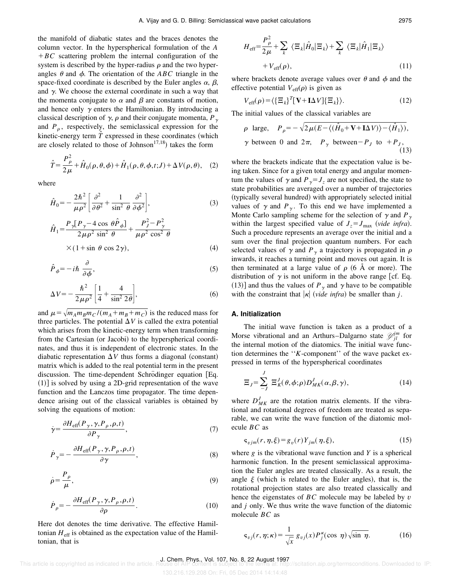the manifold of diabatic states and the braces denotes the column vector. In the hyperspherical formulation of the *A*  $+BC$  scattering problem the internal configuration of the system is described by the hyper-radius  $\rho$  and the two hyperangles  $\theta$  and  $\phi$ . The orientation of the *ABC* triangle in the space-fixed coordinate is described by the Euler angles  $\alpha$ ,  $\beta$ , and  $\gamma$ . We choose the external coordinate in such a way that the momenta conjugate to  $\alpha$  and  $\beta$  are constants of motion, and hence only  $\gamma$  enters the Hamiltonian. By introducing a classical description of  $\gamma$ ,  $\rho$  and their conjugate momenta,  $P_{\gamma}$ and  $P_{\rho}$ , respectively, the semiclassical expression for the kinetic-energy term  $\hat{T}$  expressed in these coordinates (which are closely related to those of Johnson<sup>17,18</sup>) takes the form

$$
\hat{T} = \frac{P_{\rho}^2}{2\mu} + \hat{H}_0(\rho, \theta, \phi) + \hat{H}_1(\rho, \theta, \phi, t; J) + \Delta V(\rho, \theta), \quad (2)
$$

where

$$
\hat{H}_0 = -\frac{2\hbar^2}{\mu \rho^2} \left[ \frac{\partial^2}{\partial \theta^2} + \frac{1}{\sin^2 \theta} \frac{\partial^2}{\partial \phi^2} \right],
$$
\n
$$
P \left[ P - 4 \cos \theta \hat{P} \right] = P_1^2 - P_2^2
$$
\n(3)

$$
\hat{H}_1 = \frac{P_{\gamma} [P_{\gamma} - 4 \cos \theta \hat{P}_{\phi}]}{2 \mu \rho^2 \sin^2 \theta} + \frac{P_{J}^2 - P_{\gamma}^2}{\mu \rho^2 \cos^2 \theta}
$$
\n
$$
\times (1 + \sin \theta \cos 2\gamma),
$$
\n(4)

$$
\hat{P}_{\phi} = -i\hbar \frac{\partial}{\partial \phi},\tag{5}
$$

$$
\Delta V = -\frac{\hbar^2}{2\mu\rho^2} \left[ \frac{1}{4} + \frac{4}{\sin^2 2\theta} \right],
$$
 (6)

and  $\mu = \sqrt{m_A m_B m_C / (m_A + m_B + m_C)}$  is the reduced mass for three particles. The potential  $\Delta V$  is called the extra potential which arises from the kinetic-energy term when transforming from the Cartesian (or Jacobi) to the hyperspherical coordinates, and thus it is independent of electronic states. In the diabatic representation  $\Delta V$  thus forms a diagonal (constant) matrix which is added to the real potential term in the present discussion. The time-dependent Schrödinger equation [Eq.  $(1)$ ] is solved by using a 2D-grid representation of the wave function and the Lanczos time propagator. The time dependence arising out of the classical variables is obtained by solving the equations of motion:

$$
\dot{\gamma} = \frac{\partial H_{\rm eff}(P_{\gamma}, \gamma, P_{\rho}, \rho, t)}{\partial P_{\gamma}},\tag{7}
$$

$$
\dot{P}_{\gamma} = -\frac{\partial H_{\text{eff}}(P_{\gamma}, \gamma, P_{\rho}, \rho, t)}{\partial \gamma},\tag{8}
$$

$$
\dot{\rho} = \frac{P_{\rho}}{\mu},\tag{9}
$$

$$
\dot{P}_{\rho} = -\frac{\partial H_{\rm eff}(P_{\gamma}, \gamma, P_{\rho}, \rho, t)}{\partial \rho}.
$$
\n(10)

Here dot denotes the time derivative. The effective Hamiltonian  $H_{\text{eff}}$  is obtained as the expectation value of the Hamiltonian, that is

$$
H_{\text{eff}} = \frac{P_{\rho}^{2}}{2\mu} + \sum_{k} \langle \Xi_{k} | \hat{H}_{0} | \Xi_{k} \rangle + \sum_{k} \langle \Xi_{k} | \hat{H}_{1} | \Xi_{k} \rangle
$$
  
+  $V_{\text{eff}}(\rho),$  (11)

where brackets denote average values over  $\theta$  and  $\phi$  and the effective potential  $V_{\text{eff}}(\rho)$  is given as

$$
V_{\text{eff}}(\rho) = \langle {\{\Xi_k\}}^T [\mathbf{V} + \mathbf{I} \Delta V] {\{\Xi_k\}} \rangle. \tag{12}
$$

The initial values of the classical variables are

$$
\rho \text{ large,} \quad P_{\rho} = -\sqrt{2\mu(E - \langle (\hat{H}_0 + \mathbf{V} + \mathbf{I}\Delta V) \rangle - \langle \hat{H}_1 \rangle)},
$$
  

$$
\gamma \text{ between 0 and } 2\pi, \quad P_{\gamma} \text{ between } -P_J \text{ to } +P_J,
$$
  
(13)

where the brackets indicate that the expectation value is being taken. Since for a given total energy and angular momentum the values of  $\gamma$  and  $P_{\gamma}=J_{\gamma}$  are not specified, the state to state probabilities are averaged over a number of trajectories (typically several hundred) with appropriately selected initial values of  $\gamma$  and  $P_{\gamma}$ . To this end we have implemented a Monte Carlo sampling scheme for the selection of  $\gamma$  and  $P_{\gamma}$ within the largest specified value of  $J_z = J_{\text{max}}$  (vide infra). Such a procedure represents an average over the initial and a sum over the final projection quantum numbers. For each selected values of  $\gamma$  and  $P_{\gamma}$  a trajectory is propagated in  $\rho$ inwards, it reaches a turning point and moves out again. It is then terminated at a large value of  $\rho$  (6 Å or more). The distribution of  $\gamma$  is not uniform in the above range [cf. Eq. (13)] and thus the values of  $P_\gamma$  and  $\gamma$  have to be compatible with the constraint that  $|\kappa|$  (vide infra) be smaller than *j*.

#### **A. Initialization**

The initial wave function is taken as a product of a Morse vibrational and an Arthurs–Dalgarno state  $\mathcal{Y}_{jl}^{jm}$  for the internal motion of the diatomics. The initial wave function determines the ''*K*-component'' of the wave packet expressed in terms of the hyperspherical coordinates

$$
\Xi_J = \sum_{-J}^{J} \Xi_K^J(\theta, \phi; \rho) D_{MK}^J(\alpha, \beta, \gamma), \tag{14}
$$

where  $D_{MK}^{J}$  are the rotation matrix elements. If the vibrational and rotational degrees of freedom are treated as separable, we can write the wave function of the diatomic molecule *BC* as

$$
\varsigma_{vjm}(r,\eta,\xi) = g_v(r)Y_{jm}(\eta,\xi),\tag{15}
$$

where  $g$  is the vibrational wave function and  $Y$  is a spherical harmonic function. In the present semiclassical approximation the Euler angles are treated classically. As a result, the angle  $\xi$  (which is related to the Euler angles), that is, the rotational projection states are also treated classically and hence the eigenstates of *BC* molecule may be labeled by *v* and *j* only. We thus write the wave function of the diatomic molecule *BC* as

$$
\mathbf{s}_{vj}(r,\eta;\kappa) = \frac{1}{\sqrt{x}} g_{vj}(x) P_j^{\kappa}(\cos \eta) \sqrt{\sin \eta}.
$$
 (16)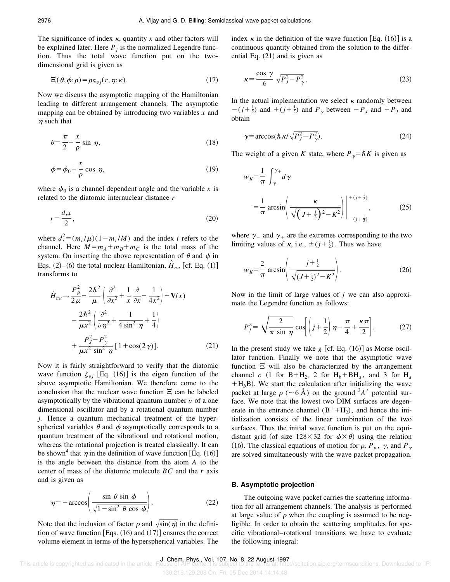The significance of index  $\kappa$ , quantity x and other factors will be explained later. Here  $P_j$  is the normalized Legendre function. Thus the total wave function put on the twodimensional grid is given as

$$
\Xi(\theta,\phi;\rho) = \rho \mathbf{s}_{vj}(r,\eta;\kappa). \tag{17}
$$

Now we discuss the asymptotic mapping of the Hamiltonian leading to different arrangement channels. The asymptotic mapping can be obtained by introducing two variables *x* and  $\eta$  such that

$$
\theta = \frac{\pi}{2} - \frac{x}{\rho} \sin \eta, \tag{18}
$$

$$
\phi = \phi_0 + \frac{x}{\rho} \cos \eta,\tag{19}
$$

where  $\phi_0$  is a channel dependent angle and the variable *x* is related to the diatomic internuclear distance *r*

$$
r = \frac{d_i x}{2},\tag{20}
$$

where  $d_i^2 = (m_i/\mu)(1 - m_i/M)$  and the index *i* refers to the channel. Here  $M = m_A + m_B + m_C$  is the total mass of the system. On inserting the above representation of  $\theta$  and  $\phi$  in Eqs.  $(2)$ – $(6)$  the total nuclear Hamiltonian,  $\hat{H}_{nu}$  [cf. Eq.  $(1)$ ] transforms to

$$
\hat{H}_{nu} \rightarrow \frac{P_{\rho}^2}{2\mu} - \frac{2\hbar^2}{\mu} \left( \frac{\partial^2}{\partial x^2} + \frac{1}{x} \frac{\partial}{\partial x} - \frac{1}{4x^2} \right) + \mathbf{V}(x)
$$

$$
- \frac{2\hbar^2}{\mu x^2} \left( \frac{\partial^2}{\partial \eta^2} + \frac{1}{4 \sin^2 \eta} + \frac{1}{4} \right)
$$

$$
+ \frac{P_{J}^2 - P_{\gamma}^2}{\mu x^2 \sin^2 \eta} [1 + \cos(2\gamma)]. \tag{21}
$$

Now it is fairly straightforward to verify that the diatomic wave function  $\zeta_{\nu j}$  [Eq. (16)] is the eigen function of the above asymptotic Hamiltonian. We therefore come to the conclusion that the nuclear wave function  $\Xi$  can be labeled asymptotically by the vibrational quantum number *v* of a one dimensional oscillator and by a rotational quantum number *j*. Hence a quantum mechanical treatment of the hyperspherical variables  $\theta$  and  $\phi$  asymptotically corresponds to a quantum treatment of the vibrational and rotational motion, whereas the rotational projection is treated classically. It can be shown<sup>4</sup> that  $\eta$  in the definition of wave function [Eq. (16)] is the angle between the distance from the atom *A* to the center of mass of the diatomic molecule *BC* and the *r* axis and is given as

$$
\eta = -\arccos\left(\frac{\sin\,\theta\,\sin\,\phi}{\sqrt{1-\sin^2\,\theta\,\cos\,\phi}}\right). \tag{22}
$$

Note that the inclusion of factor  $\rho$  and  $\sqrt{\sin(\eta)}$  in the definition of wave function [Eqs.  $(16)$  and  $(17)$ ] ensures the correct volume element in terms of the hyperspherical variables. The index  $\kappa$  in the definition of the wave function [Eq. (16)] is a continuous quantity obtained from the solution to the differential Eq.  $(21)$  and is given as

$$
\kappa = \frac{\cos \gamma}{\hbar} \sqrt{P_J^2 - P_{\gamma}^2}.
$$
 (23)

In the actual implementation we select  $\kappa$  randomly between  $-(j+\frac{1}{2})$  and  $+(j+\frac{1}{2})$  and  $P_\gamma$  between  $-P_J$  and  $+P_J$  and obtain

$$
\gamma = \arccos(\hbar \kappa / \sqrt{P_J^2 - P_{\gamma}^2}).\tag{24}
$$

The weight of a given *K* state, where  $P_{\gamma} = \hbar K$  is given as

$$
w_K = \frac{1}{\pi} \int_{\gamma_-}^{\gamma_+} d\gamma
$$
  
=  $\frac{1}{\pi} \arcsin \left( \frac{\kappa}{\sqrt{\left( J + \frac{1}{2} \right)^2 - K^2}} \right) \Big|_{-(j + \frac{1}{2})}^{+(j + \frac{1}{2})}$ , (25)

where  $\gamma$  and  $\gamma$  are the extremes corresponding to the two limiting values of  $\kappa$ , i.e.,  $\pm (j + \frac{1}{2})$ . Thus we have

$$
w_K = \frac{2}{\pi} \arcsin\left(\frac{j + \frac{1}{2}}{\sqrt{(J + \frac{1}{2})^2 - K^2}}\right).
$$
 (26)

Now in the limit of large values of *j* we can also approximate the Legendre function as follows:

$$
P_j^{\kappa} = \sqrt{\frac{2}{\pi \sin \eta}} \cos \left[ \left( j + \frac{1}{2} \right) \eta - \frac{\pi}{4} + \frac{\kappa \pi}{2} \right].
$$
 (27)

In the present study we take  $g$  [cf. Eq.  $(16)$ ] as Morse oscillator function. Finally we note that the asymptotic wave function  $\Xi$  will also be characterized by the arrangement channel *c* (1 for B+H<sub>2</sub>, 2 for H<sub>b</sub>+BH<sub>a</sub>, and 3 for H<sub>a</sub>  $+H<sub>b</sub>B$ ). We start the calculation after initializing the wave packet at large  $\rho$  ( $\sim$ 6 Å) on the ground <sup>3</sup>*A*' potential surface. We note that the lowest two DIM surfaces are degenerate in the entrance channel  $(B^+ + H_2)$ , and hence the initialization consists of the linear combination of the two surfaces. Thus the initial wave function is put on the equidistant grid (of size 128×32 for  $\phi \times \theta$ ) using the relation (16). The classical equations of motion for  $\rho$ ,  $P_{\rho}$ ,  $\gamma$ , and  $P_{\gamma}$ are solved simultaneously with the wave packet propagation.

#### **B. Asymptotic projection**

The outgoing wave packet carries the scattering information for all arrangement channels. The analysis is performed at large value of  $\rho$  when the coupling is assumed to be negligible. In order to obtain the scattering amplitudes for specific vibrational–rotational transitions we have to evaluate the following integral: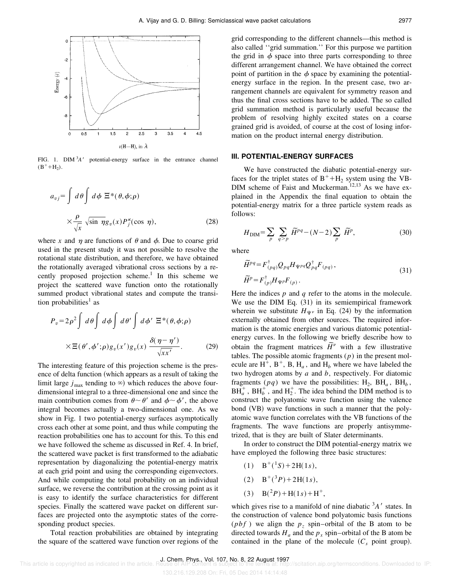

FIG. 1.  $\text{DIM }^{3}A'$  potential-energy surface in the entrance channel  $(B^+ + H_2).$ 

$$
a_{vj} = \int d\theta \int d\phi \ \Xi^*(\theta, \phi; \rho)
$$

$$
\times \frac{\rho}{\sqrt{x}} \sqrt{\sin \eta} g_v(x) P_j^{\kappa}(\cos \eta), \qquad (28)
$$

where x and  $\eta$  are functions of  $\theta$  and  $\phi$ . Due to coarse grid used in the present study it was not possible to resolve the rotational state distribution, and therefore, we have obtained the rotationally averaged vibrational cross sections by a recently proposed projection scheme.<sup>1</sup> In this scheme we project the scattered wave function onto the rotationally summed product vibrational states and compute the transition probabilities<sup>1</sup> as

$$
P_v = 2\rho^2 \int d\theta \int d\phi \int d\theta' \int d\phi' \ \Xi^*(\theta, \phi; \rho)
$$

$$
\times \Xi(\theta', \phi'; \rho) g_v(x') g_v(x) \frac{\delta(\eta - \eta')}{\sqrt{x x'}}.
$$
(29)

The interesting feature of this projection scheme is the presence of delta function (which appears as a result of taking the limit large  $j_{\text{max}}$  tending to  $\infty$ ) which reduces the above fourdimensional integral to a three-dimensional one and since the main contribution comes from  $\theta \sim \theta'$  and  $\phi \sim \phi'$ , the above integral becomes actually a two-dimensional one. As we show in Fig. 1 two potential-energy surfaces asymptotically cross each other at some point, and thus while computing the reaction probabilities one has to account for this. To this end we have followed the scheme as discussed in Ref. 4. In brief, the scattered wave packet is first transformed to the adiabatic representation by diagonalizing the potential-energy matrix at each grid point and using the corresponding eigenvectors. And while computing the total probability on an individual surface, we reverse the contribution at the crossing point as it is easy to identify the surface characteristics for different species. Finally the scattered wave packet on different surfaces are projected onto the asymptotic states of the corresponding product species.

Total reaction probabilities are obtained by integrating the square of the scattered wave function over regions of the grid corresponding to the different channels—this method is also called ''grid summation.'' For this purpose we partition the grid in  $\phi$  space into three parts corresponding to three different arrangement channel. We have obtained the correct point of partition in the  $\phi$  space by examining the potentialenergy surface in the region. In the present case, two arrangement channels are equivalent for symmetry reason and thus the final cross sections have to be added. The so called grid summation method is particularly useful because the problem of resolving highly excited states on a coarse grained grid is avoided, of course at the cost of losing information on the product internal energy distribution.

#### **III. POTENTIAL-ENERGY SURFACES**

We have constructed the diabatic potential-energy surfaces for the triplet states of  $B^+ + H_2$  system using the VB-DIM scheme of Faist and Muckerman.<sup>12,13</sup> As we have explained in the Appendix the final equation to obtain the potential-energy matrix for a three particle system reads as follows:

$$
H_{\text{DIM}} = \sum_{p} \sum_{q > p} \widetilde{H}^{pq} - (N - 2) \sum_{p} \widetilde{H}^{p},\tag{30}
$$

where

$$
\widetilde{H}^{pq} = F^{\dagger}_{(pq)} Q_{pq} H_{\Psi^{pq}} Q^{\dagger}_{pq} F_{(pq)},
$$
\n
$$
\widetilde{H}^{p} = F^{\dagger}_{(p)} H_{\Psi p} F_{(p)}.
$$
\n(31)

Here the indices *p* and *q* refer to the atoms in the molecule. We use the DIM Eq.  $(31)$  in its semiempirical framework wherein we substitute  $H_{\Psi^{\nu}}$  in Eq. (24) by the information externally obtained from other sources. The required information is the atomic energies and various diatomic potentialenergy curves. In the following we briefly describe how to obtain the fragment matrices  $\tilde{H}^{\nu}$  with a few illustrative tables. The possible atomic fragments (*p*) in the present molecule are  $H^+$ ,  $B^+$ ,  $B$ ,  $H_a$ , and  $H_b$  where we have labeled the two hydrogen atoms by *a* and *b*, respectively. For diatomic fragments  $(pq)$  we have the possibilities:  $H_2$ ,  $BH_a$ ,  $BH_b$ ,  $BH<sub>a</sub><sup>+</sup>$ ,  $BH<sub>b</sub><sup>+</sup>$ , and  $H<sub>2</sub><sup>+</sup>$ . The idea behind the DIM method is to construct the polyatomic wave function using the valence bond  $(VB)$  wave functions in such a manner that the polyatomic wave function correlates with the VB functions of the fragments. The wave functions are properly antisymmetrized, that is they are built of Slater determinants.

In order to construct the DIM potential-energy matrix we have employed the following three basic structures:

- $B^+(^1S) + 2H(1s),$
- $B^+(3P) + 2H(1s),$
- $B(^{2}P) + H(1s) + H^{+}$

which gives rise to a manifold of nine diabatic  ${}^3A'$  states. In the construction of valence bond polyatomic basis functions (*pbf*) we align the  $p_z$  spin–orbital of the B atom to be directed towards  $H_a$  and the  $p_x$  spin–orbital of the B atom be contained in the plane of the molecule  $(C_s$  point group).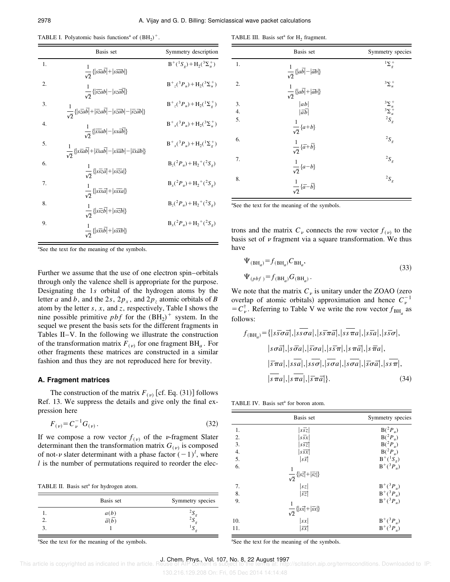| TABLE I. Polyatomic basis functions <sup>a</sup> of $(BH_2)^+$ . |  |  |  |  |  |  |  |
|------------------------------------------------------------------|--|--|--|--|--|--|--|
|------------------------------------------------------------------|--|--|--|--|--|--|--|

|                  | Basis set                                                                                                                                                                       | Symmetry description                                                             |
|------------------|---------------------------------------------------------------------------------------------------------------------------------------------------------------------------------|----------------------------------------------------------------------------------|
| 1.               | $\frac{1}{\sqrt{2}}\left\{ \left s\overline{s}a\overline{b}\right +\left s\overline{s}a\overline{b}\right \right\}$                                                             | $B^+(^1S_g) + H_2(^3\Sigma_u^+)$                                                 |
| $\overline{2}$ . | $\frac{1}{\sqrt{2}}\left\{ \left  \overrightarrow{sza}b \right  - \left  \overrightarrow{sza}b \right  \right\}$                                                                | $B^{\dagger}$ <sub>z</sub> $(^{3}P_{u})$ + H <sub>2</sub> $(^{3}\Sigma^{+}_{u})$ |
| 3.               | $\frac{1}{\sqrt{2}}\left\{ \left s\overline{z}ab\right +\left \overline{s}z a\overline{b}\right -\left s\overline{z}ab\right -\left \overline{s}z \overline{a}b\right \right\}$ | $B^+_{z}({}^3P_u) + H_2({}^1\Sigma^+_{\rho})$                                    |
| $\overline{4}$   | $\frac{1}{\sqrt{2}}\left\{ \left  \overrightarrow{xxa}b \right  - \left  \overrightarrow{xxa}b \right  \right\}$                                                                | $B_{r}^{+}({}^{3}P_{u})+H_{2}({}^{3}\Sigma_{u}^{+})$                             |
| 5.               | $\frac{1}{\sqrt{2}}\left\{\left \vec{xab}\right +\left \vec{xxa}\vec{b}\right -\left \vec{xxa}\vec{b}\right -\left \vec{xxa}\vec{b}\right \right\}$                             | $B_{r}^{+}({}^{3}P_{u})+H_{2}({}^{1}\Sigma_{\rho}^{+})$                          |
| 6.               | $\frac{1}{\sqrt{2}}\left\{ \left s\overline{s}z\overline{a}\right +\left s\overline{s}\overline{z}a\right \right\}$                                                             | $B_r(^2P_u) + H_2^+(^2S_e)$                                                      |
| 7.               | $\frac{1}{\sqrt{2}}\left\{ \left s\overrightarrow{sxa}+\left s\overrightarrow{sxa}\right \right\} \right\}$                                                                     | $B_{x}(^{2}P_{u})+H_{2}^{+}(^{2}S_{g})$                                          |
| 8.               | $\frac{1}{\sqrt{2}}\left\{ \left s\overline{s}z\overline{b}\right +\left s\overline{s}z\overline{b}\right \right\}$                                                             | $B_{7}(^{2}P_{u})+H_{2}^{+}(^{2}S_{u})$                                          |
| 9.               | $\frac{1}{\sqrt{2}}\left\{ \left s\overline{s}x\overline{b}\right  + \left s\overline{s}x\overline{b}\right \right\}$                                                           | $B_r({}^2P_u) + H_2({}^2S_e)$                                                    |

<sup>a</sup>See the text for the meaning of the symbols.

Further we assume that the use of one electron spin–orbitals through only the valence shell is appropriate for the purpose. Designating the 1*s* orbital of the hydrogen atoms by the letter *a* and *b*, and the 2*s*,  $2p_x$ , and  $2p_z$  atomic orbitals of *B* atom by the letter *s*, *x*, and *z*, respectively, Table I shows the nine possible primitive  $pbf$  for the  $(BH<sub>2</sub>)$ <sup>+</sup> system. In the sequel we present the basis sets for the different fragments in Tables II–V. In the following we illustrate the construction of the transformation matrix  $F_{(v)}$  for one fragment  $BH_a$ . For other fragments these matrices are constructed in a similar fashion and thus they are not reproduced here for brevity.

#### **A. Fragment matrices**

The construction of the matrix  $F_{(v)}$  [cf. Eq. (31)] follows Ref. 13. We suppress the details and give only the final expression here

$$
F_{(\nu)} = C_{\nu}^{-1} G_{(\nu)} \,. \tag{32}
$$

If we compose a row vector  $f_{(\nu)}$  of the *v*-fragment Slater determinant then the transformation matrix  $G_{(v)}$  is composed of not- $\nu$  slater determinant with a phase factor  $(-1)^l$ , where *l* is the number of permutations required to reorder the elec-

TABLE II. Basis set<sup>a</sup> for hydrogen atom.

| Basis set                    | Symmetry species |
|------------------------------|------------------|
| $\frac{a(b)}{-\overline{b}}$ |                  |
| a(b)                         | ω                |
|                              | ມ                |

<sup>a</sup>See the text for the meaning of the symbols.

TABLE III. Basis set<sup>a</sup> for  $H_2$  fragment.

|                  | Basis set                                                                                                                                                                                                                                                                                        | Symmetry species                                                       |
|------------------|--------------------------------------------------------------------------------------------------------------------------------------------------------------------------------------------------------------------------------------------------------------------------------------------------|------------------------------------------------------------------------|
| 1.               |                                                                                                                                                                                                                                                                                                  | $1\sum_{g}$                                                            |
| 2.               | $\begin{split} \frac{1}{\sqrt{2}} \left\{ \left  a\overline{b} \right  - \left  \overline{a}b \right  \right\} \\ \frac{1}{\sqrt{2}} \left\{ \left  a\overline{b} \right  + \left  \overline{a}b \right  \right\} \\ \left  a b \right  \\ \left  \overline{a} \overline{b} \right  \end{split}$ | $3\Sigma_u^+$                                                          |
| 3.               |                                                                                                                                                                                                                                                                                                  |                                                                        |
| 4.               |                                                                                                                                                                                                                                                                                                  |                                                                        |
| $\overline{5}$ . | $\frac{1}{\sqrt{2}}\left\{a+b\right\}$                                                                                                                                                                                                                                                           | $\begin{array}{c} ^3\Sigma_u^+ \\ ^3\Sigma_u^+ \\ ^2S_g^- \end{array}$ |
| 6.               |                                                                                                                                                                                                                                                                                                  | ${}^2S_g$                                                              |
| 7.               |                                                                                                                                                                                                                                                                                                  | $^2S_g$                                                                |
| 8.               | $\begin{split} \frac{1}{\sqrt{2}}\left\{\overline{a}+\overline{b}\right\} \\ \frac{1}{\sqrt{2}}\left\{a-b\right\} \\ \frac{1}{\sqrt{2}}\left\{\overline{a}-\overline{b}\right\} \end{split}$                                                                                                     | ${}^2S_g$                                                              |

<sup>a</sup>See the text for the meaning of the symbols.

trons and the matrix  $C_v$  connects the row vector  $f_{(v)}$  to the basis set of  $\nu$  fragment via a square transformation. We thus have

$$
\Psi_{\text{(BH)}_a} = f_{\text{(BH)}_a} C_{\text{BH}_a},
$$
\n
$$
\Psi_{\text{(pbf)}} = f_{\text{(BH)}_a} G_{\text{(BH)}_a}.
$$
\n(33)

We note that the matrix  $C<sub>v</sub>$  is unitary under the ZOAO (zero overlap of atomic orbitals) approximation and hence  $C_v^{-1}$  $=C_{\nu}^{\dagger}$ . Referring to Table V we write the row vector  $f_{BH_a}$  as follows:

$$
f_{\text{(BH}_{a})} = \{ |s\overline{s}\sigma\overline{a}|, |s\overline{s}\sigma a|, |s\overline{s}\pi\overline{a}|, |s\overline{s}\pi a|, |s\overline{s}a|, |s\overline{s}a|, |s\overline{s}\sigma|, |s\sigma\overline{a}|, |s\sigma\overline{a}|, |s\overline{a}|, |s\overline{a}|, |s\overline{a}|, |s\overline{a}|, |s\overline{a}|, |s\overline{a}|, |s\overline{a}|, |s\overline{a}|, |s\overline{a}|, |s\overline{a}|, |s\overline{a}|, |s\overline{a}|, |s\overline{a}|, |s\overline{a}|, |s\overline{a}|, |s\overline{a}|, |s\overline{a}|, |s\overline{a}|, |s\overline{a}|, |s\overline{a}|, |s\overline{a}|, |s\overline{a}|, |s\overline{a}|, |s\overline{a}|, |s\overline{a}|, |s\overline{a}|, |s\overline{a}|, |s\overline{a}|, |s\overline{a}|, |s\overline{a}|, |s\overline{a}|, |s\overline{a}|, |s\overline{a}|, |s\overline{a}|, |s\overline{a}|, |s\overline{a}|, |s\overline{a}|, |s\overline{a}|, |s\overline{a}|, |s\overline{a}|, |s\overline{a}|, |s\overline{a}|, |s\overline{a}|, |s\overline{a}|, |s\overline{a}|, |s\overline{a}|, |s\overline{a}|, |s\overline{a}|, |s\overline{a}|, |s\overline{a}|, |s\overline{a}|, |s\overline{a}|, |s\overline{a}|, |s\overline{a}|, |s\overline{a}|, |s\overline{a}|, |s\overline{a}|, |s\overline{a}|, |s\overline{a}|, |s\overline{a}|, |s\overline{a}|, |s\overline{a}|, |s\overline{a}|, |s\overline{a}|, |s\overline{a}|, |s\overline{a}|, |s\overline{a}|, |s\overline{a}|, |s\overline{a}|, |s\overline{a}|, |s\overline{a}|, |s\
$$

TABLE IV. Basis set<sup>a</sup> for boron atom.

|                  | Basis set                                                                                            | Symmetry species     |
|------------------|------------------------------------------------------------------------------------------------------|----------------------|
| 1.               | $ \overline{s\overline{s}z} $                                                                        | $B(^2P_u)$           |
| $\overline{2}$ . | $ s\overline{s}x $                                                                                   | $B(^2P_u)$           |
| $\overline{3}$ . | $ s\overline{s}\overline{z} $                                                                        | $B(^2P_u)$           |
| $\overline{4}$ . | $ ss\overline{sx} $                                                                                  | $B(^2P_u)$           |
| 5.               | $ s\overline{s} $                                                                                    | $B^+(^1S_g)$         |
| 6.               |                                                                                                      | $B^+(^{3}P_{u})$     |
|                  | $\frac{1}{\sqrt{2}}\left\{ \left s\overline{z}\right +\left \overline{s}\overline{z}\right \right\}$ |                      |
| 7.               | sz                                                                                                   | $B^+(^{3}P_{u})$     |
| 8.               | $ \overline{sz} $                                                                                    | $B^{+}({}^{3}P_{u})$ |
| 9.               |                                                                                                      | $B^+(^3P_u)$         |
|                  | $\frac{1}{\sqrt{2}}\left\{ \left s\overline{x}\right +\left \overline{s}\overline{x}\right \right\}$ |                      |
| 10.              |                                                                                                      | $B^+(^3P_u)$         |
| 11.              | $\frac{ sx }{ sx }$                                                                                  | $B^{+}({}^{3}P_{u})$ |

<sup>a</sup>See the text for the meaning of the symbols.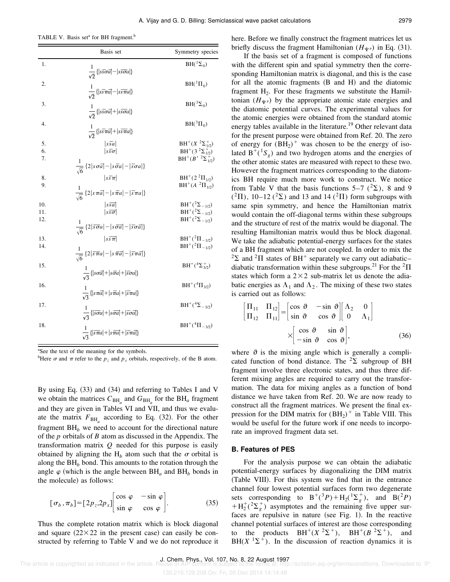TABLE V. Basis set<sup>a</sup> for BH fragment.<sup>b</sup>

|                   | Basis set                                                                                                                                                                                                                                                                                                           | Symmetry species                                                                             |
|-------------------|---------------------------------------------------------------------------------------------------------------------------------------------------------------------------------------------------------------------------------------------------------------------------------------------------------------------|----------------------------------------------------------------------------------------------|
| 1.                |                                                                                                                                                                                                                                                                                                                     | $BH(^{1}\Sigma_{0})$                                                                         |
| 2.                | $\frac{1}{\sqrt{2}}\left\{ \left s\bar{s}\sigma\bar{a}\right -\left s\bar{s}\sigma a\right \right\}$<br>$\frac{1}{\sqrt{2}}\left\{ \left s\overline{s}\pi\overline{a}\right -\left s\overline{s}\pi\overline{a}\right \right\}$                                                                                     | $BH(^1\Pi_0)$                                                                                |
| 3.                | $\frac{1}{\sqrt{2}}\left\{ \left s\overrightarrow{s}\sigma\overrightarrow{a}\right +\left s\overrightarrow{s}\sigma\overrightarrow{a}\right \right\}$                                                                                                                                                               | $BH(^{3}\Sigma_{0})$                                                                         |
| $\overline{4}$ .  | $\frac{1}{\sqrt{2}}\left\{ \left s\overline{s}\pi\overline{a}\right +\left s\overline{s}\pi\overline{a}\right \right\}$                                                                                                                                                                                             | $BH(^3\Pi_0)$                                                                                |
| 5.<br>6.<br>7.    | $ \overline{ssa} $<br>$\overline{\overline{\mathbf{s}}\overline{\sigma}}$                                                                                                                                                                                                                                           | $BH^+(X^2\Sigma^+_{1/2})$<br>$BH^+(3^2\Sigma_{1/2}^+)$<br>$BH^+(B^{\prime 2}\Sigma_{1/2}^+)$ |
| 8.<br>9.          | $\frac{1}{\sqrt{6}}\left\{2\left s\sigma\overline{a}\right -\left s\overline{\sigma}a\right -\left \overline{s}\sigma a\right \right\}$<br>$ s\overline{s}\pi $<br>$\frac{1}{\sqrt{6}}\left\{2\left s\,\pi\bar{a}\right -\left s\,\overline{\pi}a\right -\left \bar{s}\,\pi a\right \right\}$                       | $BH^+(2^2\Pi_{1/2})$<br>$BH^+(A^{-2}\Pi_{1/2})$                                              |
| 10.<br>11.<br>12. | $s\bar{s}\bar{a}$<br>$\sqrt{\sqrt{sg}}$                                                                                                                                                                                                                                                                             | $BH^+(2\Sigma_{-1/2})$<br>$BH^+(^2\Sigma_{-1/2})$<br>$BH^+(2\Sigma_{-1/2})$                  |
| 13.<br>14.        | $\frac{1}{\sqrt{6}}\left\{2\left \overline{s}\overline{\sigma}a\right -\left s\overline{\sigma}\overline{a}\right -\left \overline{s}\sigma\overline{a}\right \right\}$<br>$\frac{1}{\sqrt{6}}$ {2  $\overline{s}\overline{\pi}a$  -  $\overline{s}\overline{\pi}\overline{a}$  -  $\overline{s}\pi\overline{a}$ ]} | $BH^+(^2\Pi_{-1/2})$<br>$BH^+(^2\Pi_{-1/2})$                                                 |
| 15.               | $\frac{1}{\sqrt{2}}\left\{ \left s\sigma\vec{a}\right +\left s\bar{\sigma}a\right +\left \bar{s}\sigma a\right \right\}$                                                                                                                                                                                            | $BH^+(^{4}\Sigma^{+}_{3/2})$                                                                 |
| 16.               | $\frac{1}{\sqrt{2}}\left\{ \left s\,\pi\vec{a}\right +\left s\,\overline{\pi}a\right +\left \overline{s}\,\pi a\right \right\}$                                                                                                                                                                                     | $BH^+(^4\Pi_{3/2})$                                                                          |
| 17.               | $\frac{1}{\sqrt{2}}\left\{\left \overline{s}\overline{\sigma}a\right +\left s\overline{\sigma}\overline{a}\right +\left \overline{s}\sigma\overline{a}\right \right\}$                                                                                                                                              | $BH^+(^{4}\Sigma_{-3/2})$                                                                    |
| 18.               | $\frac{1}{\sqrt{2}}\left\{\left \overline{s}\,\overline{\pi}a\right +\left s\,\overline{\pi}a\right +\left \overline{s}\,\pi\overline{a}\right \right\}$                                                                                                                                                            | $BH^+(^4\Pi_{-3/2})$                                                                         |

<sup>a</sup>See the text of the meaning for the symbols.

<sup>b</sup>Here  $\sigma$  and  $\pi$  refer to the  $p_\tau$  and  $p_\tau$  orbitals, respectively, of the B atom.

By using Eq.  $(33)$  and  $(34)$  and referring to Tables I and V we obtain the matrices  $C_{BH_a}$  and  $G_{BH_a}$  for the  $BH_a$  fragment and they are given in Tables VI and VII, and thus we evaluate the matrix  $F_{BH_a}$  according to Eq. (32). For the other fragment  $BH<sub>b</sub>$  we need to account for the directional nature of the *p* orbitals of *B* atom as discussed in the Appendix. The transformation matrix *Q* needed for this purpose is easily obtained by aligning the  $H_h$  atom such that the  $\sigma$  orbital is along the  $BH<sub>b</sub>$  bond. This amounts to the rotation through the angle  $\varphi$  (which is the angle between BH<sub>a</sub> and BH<sub>b</sub> bonds in the molecule) as follows:

$$
[\sigma_b, \pi_b] = [2p_z, 2p_x] \begin{bmatrix} \cos \varphi & -\sin \varphi \\ \sin \varphi & \cos \varphi \end{bmatrix} . \tag{35}
$$

Thus the complete rotation matrix which is block diagonal and square  $(22\times22$  in the present case) can easily be constructed by referring to Table V and we do not reproduce it here. Before we finally construct the fragment matrices let us briefly discuss the fragment Hamiltonian ( $H_{\Psi \nu}$ ) in Eq. (31).

If the basis set of a fragment is composed of functions with the different spin and spatial symmetry then the corresponding Hamiltonian matrix is diagonal, and this is the case for all the atomic fragments  $(B \text{ and } H)$  and the diatomic fragment  $H_2$ . For these fragments we substitute the Hamiltonian  $(H_{\Psi^{\nu}})$  by the appropriate atomic state energies and the diatomic potential curves. The experimental values for the atomic energies were obtained from the standard atomic energy tables available in the literature.<sup>19</sup> Other relevant data for the present purpose were obtained from Ref. 20. The zero of energy for  $(BH_2)^+$  was chosen to be the energy of isolated  $B^+(S_g)$  and two hydrogen atoms and the energies of the other atomic states are measured with repect to these two. However the fragment matrices corresponding to the diatomics BH require much more work to construct. We notice from Table V that the basis functions  $5-7$  ( $2\overline{\Sigma}$ ), 8 and 9  $({}^{2}\Pi)$ , 10–12 ( ${}^{2}\Sigma$ ) and 13 and 14 ( ${}^{2}\Pi$ ) form subgroups with same spin symmetry, and hence the Hamiltonian matrix would contain the off-diagonal terms within these subgroups and the structure of rest of the matrix would be diagonal. The resulting Hamiltonian matrix would thus be block diagonal. We take the adiabatic potential-energy surfaces for the states of a BH fragment which are not coupled. In order to mix the  ${}^{2}\Sigma$  and  ${}^{2}\Pi$  states of BH<sup>+</sup> separately we carry out adiabatic– diabatic transformation within these subgroups.<sup>21</sup> For the <sup>2</sup> $\Pi$ states which form a  $2\times2$  sub-matrix let us denote the adiabatic energies as  $\Lambda_1$  and  $\Lambda_2$ . The mixing of these two states is carried out as follows:

$$
\begin{bmatrix}\n\Pi_{11} & \Pi_{12} \\
\Pi_{12} & \Pi_{11}\n\end{bmatrix} =\n\begin{bmatrix}\n\cos \vartheta & -\sin \vartheta \\
\sin \vartheta & \cos \vartheta\n\end{bmatrix}\n\begin{bmatrix}\n\Lambda_2 & 0 \\
0 & \Lambda_1\n\end{bmatrix}
$$
\n
$$
\times \begin{bmatrix}\n\cos \vartheta & \sin \vartheta \\
-\sin \vartheta & \cos \vartheta\n\end{bmatrix},
$$
\n(36)

where  $\vartheta$  is the mixing angle which is generally a complicated function of bond distance. The  ${}^{2}\Sigma$  subgroup of BH fragment involve three electronic states, and thus three different mixing angles are required to carry out the transformation. The data for mixing angles as a function of bond distance we have taken from Ref. 20. We are now ready to construct all the fragment matrices. We present the final expression for the DIM matrix for  $(BH_2)^+$  in Table VIII. This would be useful for the future work if one needs to incorporate an improved fragment data set.

#### **B. Features of PES**

For the analysis purpose we can obtain the adiabatic potential-energy surfaces by diagonalizing the DIM matrix (Table VIII). For this system we find that in the entrance channel four lowest potential surfaces form two degenerate sets corresponding to  $B^+(^3P) + H_2(^1\Sigma_g^+)$ , and  $B(^2P)$  $+ H_2^+(2\Sigma_g^+)$  asymptotes and the remaining five upper surfaces are repulsive in nature (see Fig. 1). In the reactive channel potential surfaces of interest are those corresponding to the products  $BH^+(X^2\Sigma^+)$ ,  $BH^+(B^2\Sigma^+)$ , and  $BH(X^{-1}\Sigma^{+})$ . In the discussion of reaction dynamics it is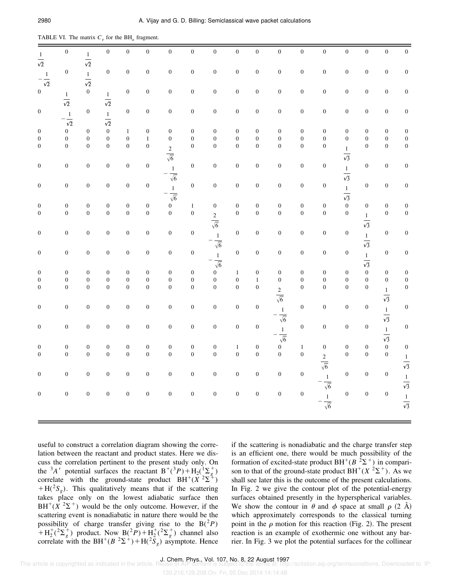| $\frac{1}{\sqrt{2}}$                 | $\boldsymbol{0}$                   | $\frac{1}{\sqrt{2}}$                 | $\boldsymbol{0}$     | $\boldsymbol{0}$                     | $\boldsymbol{0}$                     | $\boldsymbol{0}$     | $\boldsymbol{0}$            | $\boldsymbol{0}$      | $\boldsymbol{0}$                     | $\boldsymbol{0}$                     | $\boldsymbol{0}$                | $\boldsymbol{0}$                   | $\boldsymbol{0}$                   | $\boldsymbol{0}$     | $\boldsymbol{0}$     | $\boldsymbol{0}$                     | $\boldsymbol{0}$                     |
|--------------------------------------|------------------------------------|--------------------------------------|----------------------|--------------------------------------|--------------------------------------|----------------------|-----------------------------|-----------------------|--------------------------------------|--------------------------------------|---------------------------------|------------------------------------|------------------------------------|----------------------|----------------------|--------------------------------------|--------------------------------------|
| $-\frac{1}{\sqrt{2}}$                | $\boldsymbol{0}$                   | $\frac{1}{\sqrt{2}}$                 | $\boldsymbol{0}$     | $\boldsymbol{0}$                     | $\boldsymbol{0}$                     | $\boldsymbol{0}$     | $\boldsymbol{0}$            | $\boldsymbol{0}$      | $\boldsymbol{0}$                     | $\boldsymbol{0}$                     | $\boldsymbol{0}$                | $\boldsymbol{0}$                   | $\boldsymbol{0}$                   | $\boldsymbol{0}$     | $\boldsymbol{0}$     | $\boldsymbol{0}$                     | $\boldsymbol{0}$                     |
| $\boldsymbol{0}$                     | $\frac{1}{\sqrt{2}}$               | $\boldsymbol{0}$                     | $\frac{1}{\sqrt{2}}$ | $\boldsymbol{0}$                     | $\boldsymbol{0}$                     | $\boldsymbol{0}$     | $\boldsymbol{0}$            | $\boldsymbol{0}$      | $\boldsymbol{0}$                     | $\boldsymbol{0}$                     | $\boldsymbol{0}$                | $\boldsymbol{0}$                   | $\boldsymbol{0}$                   | $\boldsymbol{0}$     | $\boldsymbol{0}$     | $\boldsymbol{0}$                     | $\boldsymbol{0}$                     |
| $\boldsymbol{0}$                     | $-\frac{1}{\sqrt{2}}$              | $\boldsymbol{0}$                     | $\frac{1}{\sqrt{2}}$ | $\boldsymbol{0}$                     | $\boldsymbol{0}$                     | $\boldsymbol{0}$     | $\boldsymbol{0}$            | $\boldsymbol{0}$      | $\boldsymbol{0}$                     | $\boldsymbol{0}$                     | $\boldsymbol{0}$                | $\boldsymbol{0}$                   | $\boldsymbol{0}$                   | $\boldsymbol{0}$     | $\boldsymbol{0}$     | $\boldsymbol{0}$                     | $\boldsymbol{0}$                     |
| $\boldsymbol{0}$                     | $\boldsymbol{0}$                   | $\boldsymbol{0}$                     | $\boldsymbol{0}$     | $\,1\,$                              | $\boldsymbol{0}$                     | $\boldsymbol{0}$     | $\boldsymbol{0}$            | $\boldsymbol{0}$      | $\boldsymbol{0}$                     | $\boldsymbol{0}$                     | $\boldsymbol{0}$                | $\boldsymbol{0}$                   | $\boldsymbol{0}$                   | $\boldsymbol{0}$     | $\boldsymbol{0}$     | $\boldsymbol{0}$                     | $\boldsymbol{0}$                     |
| $\boldsymbol{0}$                     | $\boldsymbol{0}$                   | $\boldsymbol{0}$                     | $\boldsymbol{0}$     | $\boldsymbol{0}$                     | $\,1\,$                              | $\boldsymbol{0}$     | $\boldsymbol{0}$            | $\boldsymbol{0}$      | $\boldsymbol{0}$                     | $\boldsymbol{0}$                     | $\boldsymbol{0}$                | $\boldsymbol{0}$                   | $\boldsymbol{0}$                   | $\boldsymbol{0}$     | $\boldsymbol{0}$     | $\boldsymbol{0}$                     | $\boldsymbol{0}$                     |
| $\boldsymbol{0}$                     | $\boldsymbol{0}$                   | $\boldsymbol{0}$                     | $\boldsymbol{0}$     | $\boldsymbol{0}$                     | $\boldsymbol{0}$                     | $\frac{2}{\sqrt{6}}$ | $\boldsymbol{0}$            | $\boldsymbol{0}$      | $\boldsymbol{0}$                     | $\boldsymbol{0}$                     | $\overline{0}$                  | $\boldsymbol{0}$                   | $\boldsymbol{0}$                   | $\frac{1}{\sqrt{3}}$ | $\boldsymbol{0}$     | $\boldsymbol{0}$                     | $\boldsymbol{0}$                     |
| $\boldsymbol{0}$                     | $\boldsymbol{0}$                   | $\boldsymbol{0}$                     | $\boldsymbol{0}$     | $\boldsymbol{0}$                     | $\boldsymbol{0}$                     | $\frac{1}{\sqrt{6}}$ | $\boldsymbol{0}$            | $\boldsymbol{0}$      | $\boldsymbol{0}$                     | $\boldsymbol{0}$                     | $\boldsymbol{0}$                | $\boldsymbol{0}$                   | $\boldsymbol{0}$                   | $\frac{1}{\sqrt{3}}$ | $\boldsymbol{0}$     | $\boldsymbol{0}$                     | $\boldsymbol{0}$                     |
| $\boldsymbol{0}$                     | $\boldsymbol{0}$                   | $\boldsymbol{0}$                     | $\boldsymbol{0}$     | $\boldsymbol{0}$                     | $\boldsymbol{0}$                     | $\frac{1}{\sqrt{6}}$ | $\boldsymbol{0}$            | $\boldsymbol{0}$      | $\boldsymbol{0}$                     | $\boldsymbol{0}$                     | $\boldsymbol{0}$                | $\boldsymbol{0}$                   | $\boldsymbol{0}$                   | $\frac{1}{\sqrt{3}}$ | $\boldsymbol{0}$     | $\boldsymbol{0}$                     | $\boldsymbol{0}$                     |
|                                      |                                    |                                      | $\boldsymbol{0}$     |                                      |                                      | $\boldsymbol{0}$     |                             |                       |                                      |                                      |                                 |                                    |                                    | $\boldsymbol{0}$     |                      |                                      |                                      |
| $\boldsymbol{0}$<br>$\boldsymbol{0}$ | $\boldsymbol{0}$<br>$\overline{0}$ | $\boldsymbol{0}$<br>$\boldsymbol{0}$ | $\boldsymbol{0}$     | $\boldsymbol{0}$<br>$\boldsymbol{0}$ | $\boldsymbol{0}$<br>$\boldsymbol{0}$ | $\boldsymbol{0}$     | $\,1\,$<br>$\boldsymbol{0}$ | $\boldsymbol{0}$      | $\boldsymbol{0}$<br>$\boldsymbol{0}$ | $\boldsymbol{0}$<br>$\boldsymbol{0}$ | $\boldsymbol{0}$<br>$\mathbf 0$ | $\boldsymbol{0}$<br>$\overline{0}$ | $\boldsymbol{0}$<br>$\overline{0}$ | $\boldsymbol{0}$     | $\boldsymbol{0}$     | $\boldsymbol{0}$<br>$\boldsymbol{0}$ | $\boldsymbol{0}$<br>$\boldsymbol{0}$ |
|                                      |                                    |                                      |                      |                                      |                                      |                      |                             | $rac{2}{\sqrt{6}}$    |                                      |                                      |                                 |                                    |                                    |                      | $\frac{1}{\sqrt{3}}$ |                                      |                                      |
| $\boldsymbol{0}$                     | $\boldsymbol{0}$                   | $\boldsymbol{0}$                     | $\boldsymbol{0}$     | $\boldsymbol{0}$                     | $\boldsymbol{0}$                     | $\boldsymbol{0}$     | $\boldsymbol{0}$            | $-\frac{1}{\sqrt{6}}$ | $\boldsymbol{0}$                     | $\boldsymbol{0}$                     | $\boldsymbol{0}$                | $\boldsymbol{0}$                   | $\boldsymbol{0}$                   | $\boldsymbol{0}$     | $\frac{1}{\sqrt{3}}$ | $\boldsymbol{0}$                     | $\boldsymbol{0}$                     |
| $\boldsymbol{0}$                     | $\boldsymbol{0}$                   | $\boldsymbol{0}$                     | $\boldsymbol{0}$     | $\boldsymbol{0}$                     | $\boldsymbol{0}$                     | $\boldsymbol{0}$     | $\boldsymbol{0}$            | $-\frac{1}{\sqrt{6}}$ | $\boldsymbol{0}$                     | $\boldsymbol{0}$                     | $\boldsymbol{0}$                | $\boldsymbol{0}$                   | $\boldsymbol{0}$                   | $\boldsymbol{0}$     | $\frac{1}{\sqrt{3}}$ | $\boldsymbol{0}$                     | $\boldsymbol{0}$                     |
| $\mathbf{0}$                         | $\boldsymbol{0}$                   | $\boldsymbol{0}$                     | $\boldsymbol{0}$     | $\boldsymbol{0}$                     | $\boldsymbol{0}$                     | $\boldsymbol{0}$     | $\boldsymbol{0}$            | $\boldsymbol{0}$      | $\,1$                                | $\boldsymbol{0}$                     | $\boldsymbol{0}$                | $\boldsymbol{0}$                   | $\boldsymbol{0}$                   | $\boldsymbol{0}$     | $\boldsymbol{0}$     | $\boldsymbol{0}$                     | $\boldsymbol{0}$                     |
| $\boldsymbol{0}$                     | $\boldsymbol{0}$                   | $\boldsymbol{0}$                     | $\boldsymbol{0}$     | $\boldsymbol{0}$                     | $\boldsymbol{0}$                     | $\boldsymbol{0}$     | $\boldsymbol{0}$            | $\boldsymbol{0}$      | $\boldsymbol{0}$                     | $\,1\,$                              | $\boldsymbol{0}$                | $\boldsymbol{0}$                   | $\boldsymbol{0}$                   | $\boldsymbol{0}$     | $\boldsymbol{0}$     | $\boldsymbol{0}$                     | $\boldsymbol{0}$                     |
| $\overline{0}$                       | $\boldsymbol{0}$                   | $\boldsymbol{0}$                     | $\boldsymbol{0}$     | $\boldsymbol{0}$                     | $\boldsymbol{0}$                     | $\overline{0}$       | $\boldsymbol{0}$            | $\boldsymbol{0}$      | $\boldsymbol{0}$                     | $\boldsymbol{0}$                     |                                 | $\overline{0}$                     | $\boldsymbol{0}$                   | $\boldsymbol{0}$     | $\boldsymbol{0}$     |                                      | $\boldsymbol{0}$                     |
|                                      |                                    |                                      |                      |                                      |                                      |                      |                             |                       |                                      |                                      | $\frac{2}{\sqrt{6}}$            |                                    |                                    |                      |                      | $\frac{1}{\sqrt{3}}$                 |                                      |
| $\boldsymbol{0}$                     | $\boldsymbol{0}$                   | $\boldsymbol{0}$                     | $\boldsymbol{0}$     | $\boldsymbol{0}$                     | $\boldsymbol{0}$                     | $\boldsymbol{0}$     | $\boldsymbol{0}$            | $\boldsymbol{0}$      | $\boldsymbol{0}$                     | $\boldsymbol{0}$                     | $-\frac{1}{\sqrt{6}}$           | $\boldsymbol{0}$                   | $\boldsymbol{0}$                   | $\boldsymbol{0}$     | $\boldsymbol{0}$     | $\frac{1}{\sqrt{3}}$                 | $\boldsymbol{0}$                     |
| $\boldsymbol{0}$                     | $\boldsymbol{0}$                   | $\boldsymbol{0}$                     | $\boldsymbol{0}$     | $\boldsymbol{0}$                     | $\boldsymbol{0}$                     | $\boldsymbol{0}$     | $\boldsymbol{0}$            | $\boldsymbol{0}$      | $\boldsymbol{0}$                     | $\boldsymbol{0}$                     | $-\frac{1}{\sqrt{6}}$           | $\overline{0}$                     | $\boldsymbol{0}$                   | $\boldsymbol{0}$     | $\boldsymbol{0}$     | $rac{1}{\sqrt{3}}$                   | $\boldsymbol{0}$                     |
| $\boldsymbol{0}$                     | $\boldsymbol{0}$                   | $\boldsymbol{0}$                     | $\boldsymbol{0}$     | $\boldsymbol{0}$                     | $\boldsymbol{0}$                     | $\boldsymbol{0}$     | $\boldsymbol{0}$            | $\boldsymbol{0}$      | $\,1$                                | $\boldsymbol{0}$                     | $\boldsymbol{0}$                | $\,1\,$                            | $\boldsymbol{0}$                   | $\boldsymbol{0}$     | $\boldsymbol{0}$     | $\boldsymbol{0}$                     | $\boldsymbol{0}$                     |
| $\boldsymbol{0}$                     | $\boldsymbol{0}$                   | $\boldsymbol{0}$                     | $\boldsymbol{0}$     | $\boldsymbol{0}$                     | $\boldsymbol{0}$                     | $\mathbf 0$          | $\boldsymbol{0}$            | $\overline{0}$        | $\boldsymbol{0}$                     | $\boldsymbol{0}$                     | $\boldsymbol{0}$                | $\boldsymbol{0}$                   |                                    | $\boldsymbol{0}$     | $\boldsymbol{0}$     | $\boldsymbol{0}$                     |                                      |
|                                      |                                    |                                      |                      |                                      |                                      |                      |                             |                       |                                      |                                      |                                 |                                    | $\frac{2}{\sqrt{6}}$               |                      |                      |                                      | $rac{1}{\sqrt{3}}$                   |
| $\boldsymbol{0}$                     | $\boldsymbol{0}$                   | $\boldsymbol{0}$                     | $\boldsymbol{0}$     | $\boldsymbol{0}$                     | $\boldsymbol{0}$                     | $\boldsymbol{0}$     | $\boldsymbol{0}$            | $\boldsymbol{0}$      | $\boldsymbol{0}$                     | $\boldsymbol{0}$                     | $\boldsymbol{0}$                | $\boldsymbol{0}$                   | $\frac{1}{\sqrt{6}}$               | $\overline{0}$       | $\boldsymbol{0}$     | $\boldsymbol{0}$                     | $\frac{1}{\sqrt{3}}$                 |
| $\boldsymbol{0}$                     | $\boldsymbol{0}$                   | $\boldsymbol{0}$                     | $\boldsymbol{0}$     | $\boldsymbol{0}$                     | $\boldsymbol{0}$                     | $\boldsymbol{0}$     | $\boldsymbol{0}$            | $\boldsymbol{0}$      | $\boldsymbol{0}$                     | $\boldsymbol{0}$                     | $\boldsymbol{0}$                | $\boldsymbol{0}$                   |                                    | $\boldsymbol{0}$     | $\boldsymbol{0}$     | $\boldsymbol{0}$                     |                                      |
|                                      |                                    |                                      |                      |                                      |                                      |                      |                             |                       |                                      |                                      |                                 |                                    | $-\frac{1}{\sqrt{6}}$              |                      |                      |                                      | $\frac{1}{\sqrt{3}}$                 |

TABLE VI. The matrix  $C<sub>v</sub>$  for the BH<sub>a</sub> fragment.

useful to construct a correlation diagram showing the correlation between the reactant and product states. Here we discuss the correlation pertinent to the present study only. On the <sup>3</sup>A' potential surfaces the reactant  $B^+({}^3P) + H_2(I\Sigma_g^+)$ correlate with the ground-state product  $BH^+(X^2\Sigma^{\frac{8}{4}})$  $+ H(^2S_g)$ . This qualitatively means that if the scattering takes place only on the lowest adiabatic surface then  $BH^+(X^2\Sigma^+)$  would be the only outcome. However, if the scattering event is nonadiabatic in nature there would be the possibility of charge transfer giving rise to the  $B(^2P)$  $1 + \text{H}_2^{\text{+}}(\text{2s}^{\text{+}})$  product. Now  $\text{B}(\text{2}P) + \text{H}_2^{\text{+}}(\text{2s}^{\text{+}})$  channel also correlate with the BH<sup>+</sup>( $B^2\Sigma^+$ )+H( ${}^2S_g$ ) asymptote. Hence if the scattering is nonadiabatic and the charge transfer step is an efficient one, there would be much possibility of the formation of excited-state product  $BH^+(B^2\Sigma^+)$  in comparison to that of the ground-state product  $BH^+(X^2\Sigma^+)$ . As we shall see later this is the outcome of the present calculations. In Fig. 2 we give the contour plot of the potential-energy surfaces obtained presently in the hyperspherical variables. We show the contour in  $\theta$  and  $\phi$  space at small  $\rho$  (2 Å) which approximately corresponds to the classical turning point in the  $\rho$  motion for this reaction (Fig. 2). The present reaction is an example of exothermic one without any barrier. In Fig. 3 we plot the potential surfaces for the collinear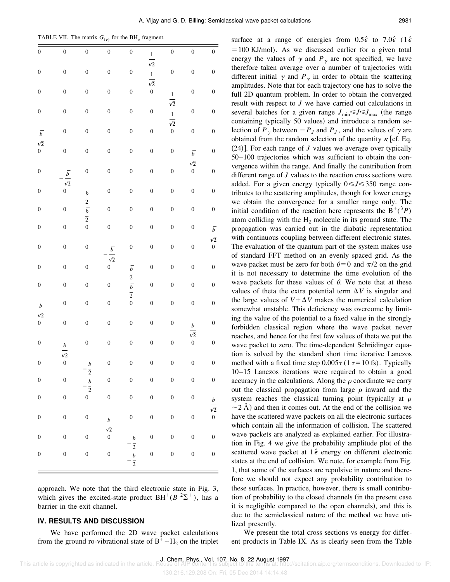TABLE VII. The matrix  $G_{(v)}$  for the BH<sub>a</sub> fragment.

| $\boldsymbol{0}$                     | $\overline{0}$                     | $\overline{0}$                                        | $\overline{0}$                                            | $\boldsymbol{0}$                                                                                    |                                           | $\overline{0}$                            | $\boldsymbol{0}$                     | $\boldsymbol{0}$                                 |
|--------------------------------------|------------------------------------|-------------------------------------------------------|-----------------------------------------------------------|-----------------------------------------------------------------------------------------------------|-------------------------------------------|-------------------------------------------|--------------------------------------|--------------------------------------------------|
| $\boldsymbol{0}$                     | $\boldsymbol{0}$                   | $\boldsymbol{0}$                                      | $\boldsymbol{0}$                                          | $\boldsymbol{0}$                                                                                    | $\frac{1}{\sqrt{2}}$ $\frac{1}{\sqrt{2}}$ | $\boldsymbol{0}$                          | $\boldsymbol{0}$                     | $\boldsymbol{0}$                                 |
| $\boldsymbol{0}$                     | $\boldsymbol{0}$                   | $\boldsymbol{0}$                                      | $\boldsymbol{0}$                                          | $\boldsymbol{0}$                                                                                    | $\boldsymbol{0}$                          |                                           | $\boldsymbol{0}$                     | $\boldsymbol{0}$                                 |
| $\boldsymbol{0}$                     | $\boldsymbol{0}$                   | $\boldsymbol{0}$                                      | $\boldsymbol{0}$                                          | $\boldsymbol{0}$                                                                                    | $\boldsymbol{0}$                          | $\frac{1}{\sqrt{2}}$ $\frac{1}{\sqrt{2}}$ | $\boldsymbol{0}$                     | $\boldsymbol{0}$                                 |
| $\frac{\overline{b}}{\sqrt{2}}$ 0    | $\boldsymbol{0}$                   | $\boldsymbol{0}$                                      | $\boldsymbol{0}$                                          | $\boldsymbol{0}$                                                                                    | $\boldsymbol{0}$                          | $\boldsymbol{0}$                          | $\boldsymbol{0}$                     | $\boldsymbol{0}$                                 |
|                                      | $\boldsymbol{0}$                   | $\boldsymbol{0}$                                      | $\boldsymbol{0}$                                          | $\boldsymbol{0}$                                                                                    | $\boldsymbol{0}$                          | $\boldsymbol{0}$                          | $rac{\overline{b}}{\sqrt{2}}$        | $\overline{0}$                                   |
| $\boldsymbol{0}$                     | $\frac{\overline{b}}{\sqrt{2}}$ 0  | $\boldsymbol{0}$                                      | $\boldsymbol{0}$                                          | $\boldsymbol{0}$                                                                                    | $\mathbf{0}$                              | $\mathbf{0}$                              | $\overline{0}$                       | $\overline{0}$                                   |
| $\boldsymbol{0}$                     |                                    |                                                       | $\boldsymbol{0}$                                          | $\boldsymbol{0}$                                                                                    | $\boldsymbol{0}$                          | $\boldsymbol{0}$                          | $\boldsymbol{0}$                     | $\boldsymbol{0}$                                 |
| $\boldsymbol{0}$                     | $\boldsymbol{0}$                   | $\frac{\overline{b}}{2}$ $\frac{\overline{b}}{2}$ $0$ | $\boldsymbol{0}$                                          | $\boldsymbol{0}$                                                                                    | $\boldsymbol{0}$                          | $\boldsymbol{0}$                          | $\boldsymbol{0}$                     | $\boldsymbol{0}$                                 |
| $\boldsymbol{0}$                     | $\boldsymbol{0}$                   |                                                       | $\boldsymbol{0}$                                          | $\boldsymbol{0}$                                                                                    | $\boldsymbol{0}$                          | $\boldsymbol{0}$                          | $\boldsymbol{0}$                     | $\frac{\overline{b}}{\sqrt{2}}$ 0                |
| $\boldsymbol{0}$                     | $\boldsymbol{0}$                   | $\boldsymbol{0}$                                      | $-\frac{\overline{b}}{\sqrt{2}}$<br>0                     | $\boldsymbol{0}$                                                                                    | $\boldsymbol{0}$                          | $\boldsymbol{0}$                          | $\boldsymbol{0}$                     |                                                  |
| $\boldsymbol{0}$                     | $\boldsymbol{0}$                   | $\boldsymbol{0}$                                      |                                                           |                                                                                                     | $\boldsymbol{0}$                          | $\boldsymbol{0}$                          | $\boldsymbol{0}$                     | $\boldsymbol{0}$                                 |
| $\boldsymbol{0}$                     | $\boldsymbol{0}$                   | $\boldsymbol{0}$                                      | $\boldsymbol{0}$                                          | $\frac{\overline{b}}{2}$ $\frac{\overline{b}}{2}$ $\frac{\overline{b}}{2}$ $\frac{\overline{b}}{2}$ | $\boldsymbol{0}$                          | $\boldsymbol{0}$                          | $\boldsymbol{0}$                     | $\boldsymbol{0}$                                 |
| $rac{b}{\sqrt{2}}$                   | $\boldsymbol{0}$                   | $\boldsymbol{0}$                                      | $\boldsymbol{0}$                                          |                                                                                                     | $\mathbf{0}$                              | $\boldsymbol{0}$                          | $\boldsymbol{0}$                     | $\boldsymbol{0}$                                 |
| $\boldsymbol{0}$                     | $\boldsymbol{0}$                   | $\boldsymbol{0}$                                      | $\boldsymbol{0}$                                          | $\boldsymbol{0}$                                                                                    | $\boldsymbol{0}$                          | $\boldsymbol{0}$                          | $rac{b}{\sqrt{2}}$                   | $\boldsymbol{0}$                                 |
| $\boldsymbol{0}$                     | $\frac{b}{\sqrt{2}}$ 0             | $\boldsymbol{0}$                                      | $\boldsymbol{0}$                                          | $\boldsymbol{0}$                                                                                    | $\mathbf{0}$                              | $\boldsymbol{0}$                          | $\overline{0}$                       | $\overline{0}$                                   |
| $\boldsymbol{0}$                     |                                    | $-\frac{b}{2}$                                        | $\boldsymbol{0}$                                          | $\boldsymbol{0}$                                                                                    | $\boldsymbol{0}$                          | $\boldsymbol{0}$                          | $\boldsymbol{0}$                     | $\boldsymbol{0}$                                 |
| $\boldsymbol{0}$<br>$\boldsymbol{0}$ | $\boldsymbol{0}$<br>$\overline{0}$ | $\frac{b}{2}$<br>$\boldsymbol{0}$                     | $\boldsymbol{0}$<br>$\overline{0}$                        | $\boldsymbol{0}$<br>$\boldsymbol{0}$                                                                | $\boldsymbol{0}$<br>$\boldsymbol{0}$      | $\boldsymbol{0}$<br>$\boldsymbol{0}$      | $\boldsymbol{0}$<br>$\boldsymbol{0}$ | $\boldsymbol{0}$                                 |
| $\boldsymbol{0}$                     | $\boldsymbol{0}$                   | $\boldsymbol{0}$                                      |                                                           | $\boldsymbol{0}$                                                                                    | $\boldsymbol{0}$                          | $\boldsymbol{0}$                          | $\boldsymbol{0}$                     | $\boldsymbol{b}$<br>$\sqrt{2}$<br>$\overline{0}$ |
| $\boldsymbol{0}$                     | $\boldsymbol{0}$                   | $\boldsymbol{0}$                                      | $\boldsymbol{b}$<br>$\overline{\sqrt{2}}$<br>$\mathbf{0}$ |                                                                                                     | $\boldsymbol{0}$                          | $\boldsymbol{0}$                          | $\boldsymbol{0}$                     | $\boldsymbol{0}$                                 |
| $\boldsymbol{0}$                     | $\boldsymbol{0}$                   | $\boldsymbol{0}$                                      | $\overline{0}$                                            | $\frac{b}{2}$ $\frac{b}{2}$                                                                         | $\overline{0}$                            | $\overline{0}$                            | $\boldsymbol{0}$                     | $\boldsymbol{0}$                                 |
|                                      |                                    |                                                       |                                                           |                                                                                                     |                                           |                                           |                                      |                                                  |

approach. We note that the third electronic state in Fig. 3, which gives the excited-state product  $BH^+(B^2\Sigma^+)$ , has a barrier in the exit channel.

## **IV. RESULTS AND DISCUSSION**

We have performed the 2D wave packet calculations from the ground ro-vibrational state of  $B^+ + H_2$  on the triplet  $=100$  KJ/mol). As we discussed earlier for a given total energy the values of  $\gamma$  and  $P_{\gamma}$  are not specified, we have therefore taken average over a number of trajectories with different initial  $\gamma$  and  $P_{\gamma}$  in order to obtain the scattering amplitudes. Note that for each trajectory one has to solve the full 2D quantum problem. In order to obtain the converged result with respect to *J* we have carried out calculations in several batches for a given range  $J_{\text{min}} \le J \le J_{\text{max}}$  (the range containing typically 50 values) and introduce a random selection of  $P_\gamma$  between  $-P_J$  and  $P_J$ , and the values of  $\gamma$  are obtained from the random selection of the quantity  $\kappa$  [cf. Eq.  $(24)$ . For each range of *J* values we average over typically 50–100 trajectories which was sufficient to obtain the convergence within the range. And finally the contribution from different range of *J* values to the reaction cross sections were added. For a given energy typically  $0 \le J \le 350$  range contributes to the scattering amplitudes, though for lower energy we obtain the convergence for a smaller range only. The initial condition of the reaction here represents the  $B^+({}^3P)$ atom colliding with the  $H_2$  molecule in its ground state. The propagation was carried out in the diabatic representation with continuous coupling between different electronic states. The evaluation of the quantum part of the system makes use of standard FFT method on an evenly spaced grid. As the wave packet must be zero for both  $\theta=0$  and  $\pi/2$  on the grid it is not necessary to determine the time evolution of the wave packets for these values of  $\theta$ . We note that at these values of theta the extra potential term  $\Delta V$  is singular and the large values of  $V + \Delta V$  makes the numerical calculation somewhat unstable. This deficiency was overcome by limiting the value of the potential to a fixed value in the strongly forbidden classical region where the wave packet never reaches, and hence for the first few values of theta we put the wave packet to zero. The time-dependent Schrödinger equation is solved by the standard short time iterative Lanczos method with a fixed time step  $0.005\tau (1\tau=10 \text{ fs})$ . Typically 10–15 Lanczos iterations were required to obtain a good accuracy in the calculations. Along the  $\rho$  coordinate we carry out the classical propagation from large  $\rho$  inward and the system reaches the classical turning point (typically at  $\rho$  $\sim$  2 Å) and then it comes out. At the end of the collision we have the scattered wave packets on all the electronic surfaces which contain all the information of collision. The scattered wave packets are analyzed as explained earlier. For illustration in Fig. 4 we give the probability amplitude plot of the scattered wave packet at 1 $\hat{\epsilon}$  energy on different electronic states at the end of collision. We note, for example from Fig. 1, that some of the surfaces are repulsive in nature and therefore we should not expect any probability contribution to these surfaces. In practice, however, there is small contribution of probability to the closed channels (in the present case it is negligible compared to the open channels), and this is due to the semiclassical nature of the method we have utilized presently.

surface at a range of energies from  $0.5\hat{\epsilon}$  to  $7.0\hat{\epsilon}$  (1 $\hat{\epsilon}$ 

We present the total cross sections vs energy for different products in Table IX. As is clearly seen from the Table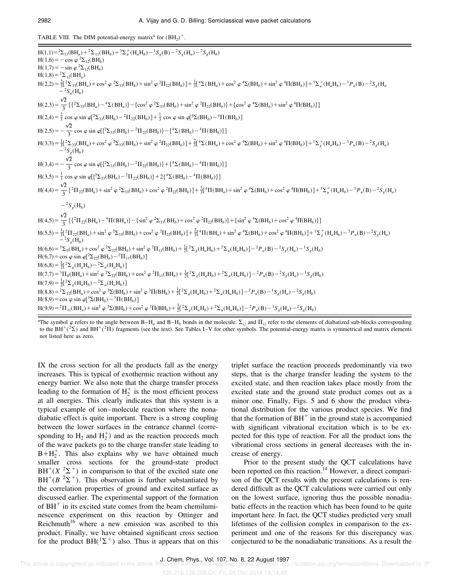TABLE VIII. The DIM potential-energy matrix<sup>a</sup> for  $(BH_2)^+$ .

 $H(1,1)= {}^{2}\Sigma_{11} (BH_{a}) + {}^{2}\Sigma_{11} (BH_{b}) + {}^{3}\Sigma_{u}^{+} (H_{a}H_{b}) - {}^{1}S_{g} (B) - {}^{2}S_{g} (H_{a}) - {}^{2}S_{g} (H_{b})$  $H(1,6) = -\cos \varphi^2 \Sigma_{12}(BH_b)$  $H(1,7) = -\sin \varphi^2 \Sigma_{12}(BH_b)$  $H(1,8) = {}^{2}\Sigma_{12}(BH_{a})$  $H(2,2) = \frac{2}{3} \left[ \frac{2}{3} \sum_{33} (BH_a) + \cos^2 \varphi \frac{2}{3} (BH_b) + \sin^2 \varphi \frac{2}{3} \right] + \frac{1}{3} \left[ \frac{4}{3} \sum (BH_a) + \cos^2 \varphi \frac{4}{3} (BH_b) + \sin^2 \varphi \frac{4}{3} \right] + \frac{3}{3} \sum_{u} (H_a H_b) - \frac{3}{3} P_u (B) - \frac{2}{3} S_g (H_a H_b)$  $\frac{1}{2}$ *Sg* (H*<sup>b</sup>* )  $H(2,3) = \frac{\sqrt{2}}{2}$  $\frac{2}{3}$   $\left[\left\{2 \sum_{33} (BH_a) - 4 \sum (BH_a)\right\} - \left\{\cos^2 \varphi \,^2 \sum_{33} (BH_b) + \sin^2 \varphi \,^2 \Pi_{22} (BH_b)\right\} + \left\{\cos^2 \varphi \,^4 \sum (BH_b) + \sin^2 \varphi \,^4 \Pi (BH_b)\right\}\right]$  $H(2,4) = \frac{2}{3} \cos \varphi \sin \varphi \left[\frac{2}{33}(BH_b) - \frac{2}{3}\Pi_{22}(BH_b)\right] + \frac{1}{3} \cos \varphi \sin \varphi \left[\frac{4}{3}(BH_b) - \frac{4}{3}\Pi(BH_b)\right]$  $H(2,5) = -\frac{\sqrt{2}}{2}$  $\frac{2}{3}$  cos  $\varphi$  sin  $\varphi$ [{<sup>2</sup> $\sum_{33}$ (BH<sub>b</sub>) - <sup>2</sup> $\Pi$ </sup><sub>22</sub>(BH<sub>b</sub>)} - {<sup>4</sup> $\sum$ (BH<sub>b</sub>) - <sup>4</sup> $\Pi$ (BH<sub>b</sub>)}]  $H(3,3) = \frac{1}{3} \left[ {}^{2}\Sigma_{33} (BH_a) + \cos^2 \varphi \, {}^{2}\Sigma_{33} (BH_b) + \sin^2 \varphi \, {}^{2}\Pi_{22} (BH_b) \right] + \frac{2}{3} \left[ {}^{4}\Sigma (BH_a) + \cos^2 \varphi \, {}^{4}\Sigma (BH_b) + \sin^2 \varphi \, {}^{4}\Pi (BH_b) \right] + {}^{1}\Sigma_{g}^{+} (H_a H_b) - {}^{3}P_u (B) - {}^{2}S_{g} (H_a H_b)$  $-{}^{2}S_{g}$ (H<sub>b</sub>)  $H(3,4) = -\frac{\sqrt{2}}{2}$  $\frac{2}{3}$  cos  $\varphi$  sin  $\varphi$ [{<sup>2</sup> $\sum_{33}$ (BH<sub>b</sub>)<sup>-2</sup> $\Pi$ <sub>22</sub>(BH<sub>b</sub>)} + {<sup>4</sup> $\sum$ (BH<sub>b</sub>)<sup>-4</sup> $\Pi$ (BH<sub>b</sub>)}]  $H(3,5) = \frac{1}{3} \cos \varphi \sin \varphi \left[ \left\{^2 \Sigma_{33} (BH_b) - ^2 \Pi_{22} (BH_b) \right\} + 2 \left\{^4 \Sigma (BH_b) - ^4 \Pi (BH_b) \right\} \right]$  $H(4,4) = \frac{\sqrt{2}}{2}$  $\frac{1}{3}\left[{}^{2}\Pi_{22}(BH_{a}) + \sin^{2}\varphi \,{}^{2}\Sigma_{33}(BH_{b}) + \cos^{2}\varphi \,{}^{2}\Pi_{22}(BH_{b})\right] + \frac{1}{3}\left[{}^{4}\Pi(BH_{a}) + \sin^{2}\varphi \,{}^{4}\Sigma(BH_{b}) + \cos^{2}\varphi \,{}^{4}\Pi(BH_{b})\right] + \frac{3}{2}\Sigma_{u}^{+}(H_{a}H_{b}) - \frac{3}{2}P_{u}(B) - \frac{2}{3}S_{g}(H_{a})$  $-{}^2S_g(H_b)$  $H(4,5) = \frac{\sqrt{2}}{2}$ 3  $\{ {\frac{2\pi}{22}(BH_a) - {^4}\Pi(BH_a)} \} - {\sin^2 \varphi \, {^2}\Sigma_{33}(BH_b) + \cos^2 \varphi \, {^2}\Pi_{22}(BH_b)} + {\sin^2 \varphi \, {^4}\Sigma(BH_b) + \cos^2 \varphi \, {^4}\Pi(BH_b)} \}$  $H(5,5) = \frac{1}{3}[^2\Pi_{22}(BH_a) + sin^2 \varphi^2 \Sigma_{33}(BH_b) + cos^2 \varphi^2 \Pi_{22}(BH_b)] + \frac{2}{3}[^4\Pi(BH_a) + sin^2 \varphi^4 \Sigma(BH_b) + cos^2 \varphi^4 \Pi(BH_b)] + \frac{1}{2}[^4\Pi(BH_b) - \frac{3}{2}P_u(B) - \frac{2}{3}P_u(B) - \frac{2}{3}P_u(B)$  $-{}^{2}S_{g}$ (H<sub>b</sub>)  $H(6,6) = {}^{3}\Sigma_{0} (BH_a) + \cos^2 \varphi {}^{2}\Sigma_{22} (BH_b) + \sin^2 \varphi {}^{2}\Pi_{11} (BH_b) + \frac{1}{2} [{}^{2}\Sigma_{g} (H_a H_b) + {}^{2}\Sigma_{u} (H_a H_b)] - {}^{2}P_{u} (B) - {}^{2}S_{g} (H_a) - {}^{1}S_{g} (H_b)$  $H(6,7) = \cos \varphi \sin \varphi \left[ {}^{2}\Sigma_{22}(BH_{b}) - {}^{2}\Pi_{11}(BH_{b}) \right]$  $H(6,8) = \frac{1}{2} \left[ {}^{2} \Sigma_{g} (H_{a}H_{b}) - {}^{2} \Sigma_{u} (H_{a}H_{b}) \right]$  $H(7,7) = {}^{3}\Pi_{0}(BH_{a}) + \sin^{2} \varphi {}^{2}\Sigma_{22}(BH_{b}) + \cos^{2} \varphi {}^{2}\Pi_{11}(BH_{b}) + \frac{1}{2}[{}^{2}\Sigma_{g}(H_{a}H_{b}) + {}^{2}\Sigma_{u}(H_{a}H_{b})] - {}^{2}P_{u}(B) - {}^{2}S_{g}(H_{a}) - {}^{1}S_{g}(H_{b})$  $H(7,9) = \frac{1}{2} \left[ {}^{2}\Sigma_{g} (H_{a}H_{b}) - {}^{2}\Sigma_{u} (H_{a}H_{b}) \right]$  $H(8,8) = {}^{2}\Sigma_{22}(BH_{a}) + \cos^{2}\varphi {}^{3}\Sigma(BH_{b}) + \sin^{2}\varphi {}^{3}\Pi(BH_{b}) + \frac{1}{2}I^{2}\Sigma_{g}(H_{a}H_{b}) + {}^{2}\Sigma_{u}(H_{a}H_{b})] - {}^{2}P_{u}(B) - {}^{1}S_{g}(H_{a}) - {}^{2}S_{g}(H_{b})$  $H(8,9) = \cos \varphi \sin \varphi[^3\Sigma(BH_b) - \frac{3}{2}\Pi(BH_b)]$  $H(9,9) = {}^{2}\Pi_{11}(BH_{a}) + \sin^{2}\varphi \, {}^{3}\Sigma(BH_{b}) + \cos^{2}\varphi \, {}^{3}\Pi(BH_{b}) + \frac{1}{2} [{}^{2}\Sigma_{g}(H_{a}H_{b}) + {}^{2}\Sigma_{u}(H_{a}H_{b})] - {}^{2}P_{u}(B) - {}^{1}S_{g}(H_{a}) - {}^{2}S_{g}(H_{b})$ 

<sup>a</sup>The symbol  $\varphi$  refers to the angle between B–H<sub>a</sub> and B–H<sub>b</sub> bonds in the molecule.  $\Sigma_{ij}$  and  $\Pi_{ij}$  refer to the elements of diabatized sub-blocks corresponding to the  $BH^+(2\Sigma)$  and  $BH^+(2\Pi)$  fragments (see the text). See Tables I–V for other symbols. The potential-energy matrix is symmetrical and matrix elements not listed here as zero.

IX the cross section for all the products fall as the energy increases. This is typical of exothermic reaction without any energy barrier. We also note that the charge transfer process leading to the formation of  $H_2^+$  is the most efficient process at all energies. This clearly indicates that this system is a typical example of ion–molecule reaction where the nonadiabatic effect is quite important. There is a strong coupling between the lower surfaces in the entrance channel (corresponding to  $H_2$  and  $H_2^+$ ) and as the reaction proceeds much of the wave packets go to the charge transfer state leading to  $B + H_2^+$ . This also explains why we have obtained much smaller cross sections for the ground-state product  $BH^+(X^2\Sigma^+)$  in comparison to that of the excited state one  $BH^+(B^2\Sigma^+)$ . This observation is further substantiated by the correlation properties of ground and excited surface as discussed earlier. The experimental support of the formation of  $BH<sup>+</sup>$  in its excited state comes from the beam chemiluminescence experiment on this reaction by Ottinger and Reichmuth<sup>16</sup> where a new emission was ascribed to this product. Finally, we have obtained significant cross section for the product  $BH(^{1}\Sigma^{+})$  also. Thus it appears that on this triplet surface the reaction proceeds predominantly via two steps, that is the charge transfer leading the system to the excited state, and then reaction takes place mostly from the excited state and the ground state product comes out as a minor one. Finally, Figs. 5 and 6 show the product vibrational distribution for the various product species. We find that the formation of  $BH^+$  in the ground state is accompanied with significant vibrational excitation which is to be expected for this type of reaction. For all the product ions the vibrational cross sections in general decreases with the increase of energy.

Prior to the present study the QCT calculations have been reported on this reaction.<sup>14</sup> However, a direct comparison of the QCT results with the present calculations is rendered difficult as the QCT calculations were carried out only on the lowest surface, ignoring thus the possible nonadiabatic effects in the reaction which has been found to be quite important here. In fact, the QCT studies predicted very small lifetimes of the collision complex in comparison to the experiment and one of the reasons for this discrepancy was conjectured to be the nonadiabatic transitions. As a result the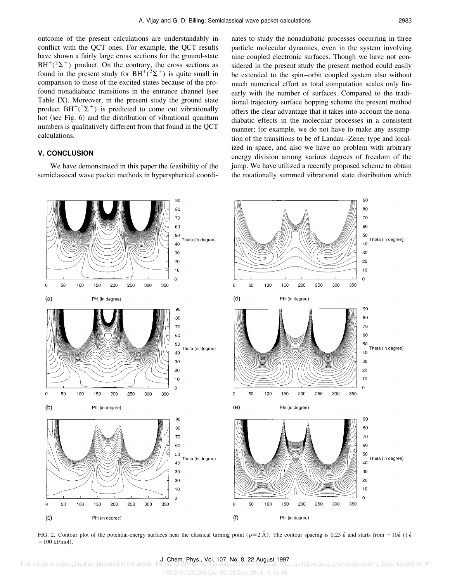outcome of the present calculations are understandably in conflict with the QCT ones. For example, the QCT results have shown a fairly large cross sections for the ground-state  $BH^+(2\Sigma^+)$  product. On the contrary, the cross sections as found in the present study for BH<sup>+</sup>( $2\Sigma$ <sup>+</sup>) is quite small in comparison to those of the excited states because of the profound nonadiabatic transitions in the entrance channel (see Table IX). Moreover, in the present study the ground state product  $BH^+(2\Sigma^+)$  is predicted to come out vibrationally hot (see Fig. 6) and the distribution of vibrational quantum numbers is qualitatively different from that found in the QCT calculations.

# **V. CONCLUSION**

We have demonstrated in this paper the feasibility of the semiclassical wave packet methods in hyperspherical coordinates to study the nonadiabatic processes occurring in three particle molecular dynamics, even in the system involving nine coupled electronic surfaces. Though we have not considered in the present study the present method could easily be extended to the spin–orbit coupled system also without much numerical effort as total computation scales only linearly with the number of surfaces. Compared to the traditional trajectory surface hopping scheme the present method offers the clear advantage that it takes into account the nonadiabatic effects in the molecular processes in a consistent manner; for example, we do not have to make any assumption of the transitions to be of Landau–Zener type and localized in space, and also we have no problem with arbitrary energy division among various degrees of freedom of the jump. We have utilized a recently proposed scheme to obtain the rotationally summed vibrational state distribution which



FIG. 2. Contour plot of the potential-energy surfaces near the classical turning point ( $\rho \equiv 2 \text{ Å}$ ). The contour spacing is 0.25  $\hat{\epsilon}$  and starts from  $-10\hat{\epsilon}$  (1 $\hat{\epsilon}$  $=100$  kJ/mol).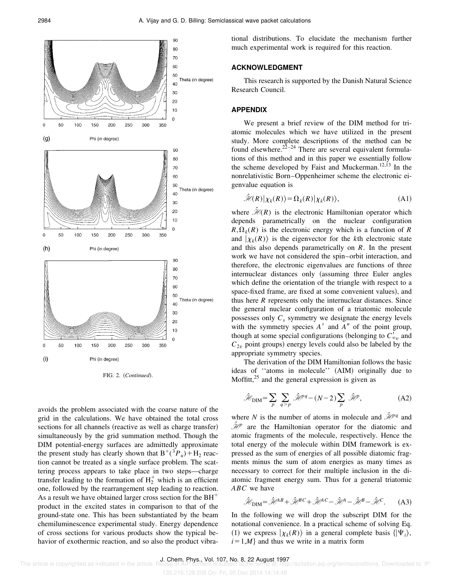

FIG. 2. (Continued).

avoids the problem associated with the coarse nature of the grid in the calculations. We have obtained the total cross sections for all channels (reactive as well as charge transfer) simultaneously by the grid summation method. Though the DIM potential-energy surfaces are admittedly approximate the present study has clearly shown that  $B^{+}({}^{3}P_{u})+H_{2}$  reaction cannot be treated as a single surface problem. The scattering process appears to take place in two steps—charge transfer leading to the formation of  $H_2^+$  which is an efficient one, followed by the rearrangement step leading to reaction. As a result we have obtained larger cross section for the  $BH<sup>+</sup>$ product in the excited states in comparison to that of the ground-state one. This has been substantiated by the beam chemiluminescence experimental study. Energy dependence of cross sections for various products show the typical behavior of exothermic reaction, and so also the product vibrational distributions. To elucidate the mechanism further much experimental work is required for this reaction.

#### **ACKNOWLEDGMENT**

This research is supported by the Danish Natural Science Research Council.

### **APPENDIX**

We present a brief review of the DIM method for triatomic molecules which we have utilized in the present study. More complete descriptions of the method can be found elsewhere.<sup>22–24</sup> There are several equivalent formulations of this method and in this paper we essentially follow the scheme developed by Faist and Muckerman.<sup>12,13</sup> In the nonrelativistic Born–Oppenheimer scheme the electronic eigenvalue equation is

$$
\hat{\mathcal{H}}(R)|\chi_k(R)\rangle = \Omega_k(R)|\chi_k(R)\rangle, \tag{A1}
$$

where  $\hat{\mathcal{H}}(R)$  is the electronic Hamiltonian operator which depends parametrically on the nuclear configuration  $R, \Omega_k(R)$  is the electronic energy which is a function of *R* and  $|\chi_k(R)\rangle$  is the eigenvector for the *k*th electronic state and this also depends parametrically on *R*. In the present work we have not considered the spin–orbit interaction, and therefore, the electronic eigenvalues are functions of three internuclear distances only (assuming three Euler angles which define the orientation of the triangle with respect to a space-fixed frame, are fixed at some convenient values), and thus here *R* represents only the internuclear distances. Since the general nuclear configuration of a triatomic molecule possesses only *C<sup>s</sup>* symmetry we designate the energy levels with the symmetry species  $A'$  and  $A''$  of the point group, though at some special configurations (belonging to  $C'_{\infty}$  and  $C_{2v}$  point groups) energy levels could also be labeled by the appropriate symmetry species.

The derivation of the DIM Hamiltonian follows the basic ideas of "atoms in molecule" (AIM) originally due to Moffitt, $2<sup>5</sup>$  and the general expression is given as

$$
\hat{\mathcal{H}}_{\text{DIM}} = \sum_{p} \sum_{q > p} \hat{\mathcal{H}}^{pq} - (N - 2) \sum_{p} \hat{\mathcal{H}}^{p}, \tag{A2}
$$

where *N* is the number of atoms in molecule and  $\hat{\mathcal{H}}^{pq}$  and  $\hat{\mathcal{H}}$  are the Hamiltonian operator for the diatomic and atomic fragments of the molecule, respectively. Hence the total energy of the molecule within DIM framework is expressed as the sum of energies of all possible diatomic fragments minus the sum of atom energies as many times as necessary to correct for their multiple inclusion in the diatomic fragment energy sum. Thus for a general triatomic *ABC* we have

$$
\hat{\mathcal{H}}_{\text{DIM}} = \hat{\mathcal{H}}^{AB} + \hat{\mathcal{H}}^{BC} + \hat{\mathcal{H}}^{AC} - \hat{\mathcal{H}}^{A} - \hat{\mathcal{H}}^{B} - \hat{\mathcal{H}}^{C}.
$$
 (A3)

In the following we will drop the subscript DIM for the notational convenience. In a practical scheme of solving Eq. (1) we express  $|\chi_k(R)\rangle$  in a general complete basis  $\langle |\Psi_i\rangle$ ,  $i=1,M$  and thus we write in a matrix form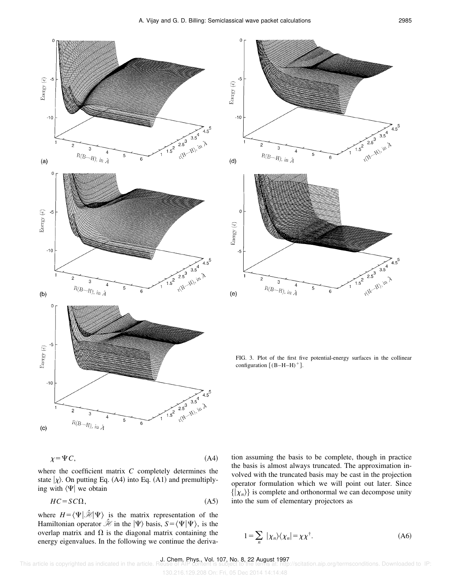



FIG. 3. Plot of the first five potential-energy surfaces in the collinear configuration  $[(B-H-H)^+]$ .



where the coefficient matrix *C* completely determines the state  $|\chi\rangle$ . On putting Eq. (A4) into Eq. (A1) and premultiplying with  $\langle \Psi |$  we obtain

$$
HC = SC\Omega,\tag{A5}
$$

where  $H = \langle \Psi | \hat{\mathcal{H}} | \Psi \rangle$  is the matrix representation of the Hamiltonian operator  $\hat{\mathcal{H}}$  in the  $|\Psi\rangle$  basis,  $S = \langle \Psi | \Psi \rangle$ , is the overlap matrix and  $\Omega$  is the diagonal matrix containing the energy eigenvalues. In the following we continue the derivation assuming the basis to be complete, though in practice the basis is almost always truncated. The approximation involved with the truncated basis may be cast in the projection operator formulation which we will point out later. Since  $\{|\chi_n\rangle\}$  is complete and orthonormal we can decompose unity into the sum of elementary projectors as

$$
1 = \sum_{n} | \chi_n \rangle \langle \chi_n | = \chi \chi^{\dagger}.
$$
 (A6)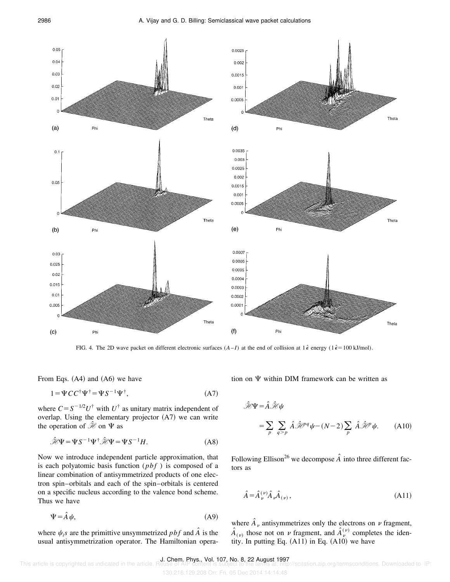

FIG. 4. The 2D wave packet on different electronic surfaces  $(A-I)$  at the end of collision at  $1\hat{\epsilon}$  energy  $(1\hat{\epsilon} = 100 \text{ kJ/mol})$ .

From Eqs.  $(A4)$  and  $(A6)$  we have

$$
1 = \Psi CC^{\dagger} \Psi^{\dagger} = \Psi S^{-1} \Psi^{\dagger}, \tag{A7}
$$

where  $C = S^{-1/2}U^{\dagger}$  with  $U^{\dagger}$  as unitary matrix independent of overlap. Using the elementary projector  $(A7)$  we can write the operation of  $\mathcal{H}$  on  $\Psi$  as

$$
\hat{\mathcal{H}}\Psi = \Psi S^{-1} \Psi^{\dagger} \hat{\mathcal{H}} \Psi = \Psi S^{-1} H. \tag{A8}
$$

Now we introduce independent particle approximation, that is each polyatomic basis function (*pbf* ) is composed of a linear combination of antisymmetrized products of one electron spin–orbitals and each of the spin–orbitals is centered on a specific nucleus according to the valence bond scheme. Thus we have

$$
\Psi = \hat{A}\psi,\tag{A9}
$$

where  $\psi_i$ *s* are the primittive unsymmetrized *pbf* and  $\hat{A}$  is the usual antisymmetrization operator. The Hamiltonian operation on  $\Psi$  within DIM framework can be written as

$$
\hat{\mathcal{H}}\Psi = \hat{A}\hat{\mathcal{H}}\psi
$$
  
=  $\sum_{p} \sum_{q>p} \hat{A}\hat{\mathcal{H}}^{pq}\psi - (N-2)\sum_{p} \hat{A}\hat{\mathcal{H}}^{p}\psi.$  (A10)

Following Ellison<sup>26</sup> we decompose  $\hat{A}$  into three different factors as

$$
\hat{A} = \hat{A}_{\nu}^{(\nu)} \hat{A}_{\nu} \hat{A}_{(\nu)},
$$
\n(A11)

where  $\hat{A}_\nu$  antisymmetrizes only the electrons on  $\nu$  fragment,  $\hat{A}_{(\nu)}$  those not on  $\nu$  fragment, and  $\hat{A}_{\nu}^{(\nu)}$  completes the identity. In putting Eq.  $(A11)$  in Eq.  $(A10)$  we have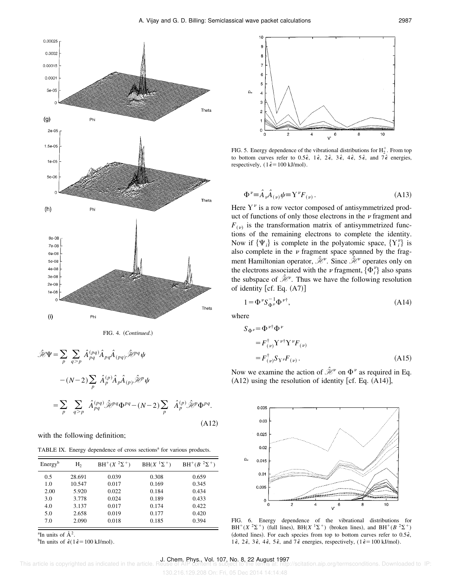



$$
\hat{\mathcal{H}}\Psi = \sum_{p} \sum_{q>p} \hat{A}_{pq}^{(pq)} \hat{A}_{pq} \hat{A}_{(pq)} \hat{\mathcal{H}}^{pq} \Psi
$$

$$
-(N-2) \sum_{p} \hat{A}_{p}^{(p)} \hat{A}_{p} \hat{A}_{(p)} \hat{\mathcal{H}}^{p} \Psi
$$

$$
= \sum_{p} \sum_{q>p} \hat{A}_{pq}^{(pq)} \hat{\mathcal{H}}^{pq} \Phi^{pq} - (N-2) \sum_{p} \hat{A}_{p}^{(p)} \hat{\mathcal{H}}^{p} \Phi^{pq}.
$$
(A12)

with the following definition;

TABLE IX. Energy dependence of cross sections<sup>a</sup> for various products.

| Energy <sup>b</sup> | H <sub>2</sub> | $BH^+(X^2\Sigma^+)$ | $BH(X1\Sigma+)$ | $BH^+(B^2\Sigma^+)$ |
|---------------------|----------------|---------------------|-----------------|---------------------|
| 0.5                 | 28.691         | 0.039               | 0.308           | 0.659               |
| 1.0                 | 10.547         | 0.017               | 0.169           | 0.345               |
| 2.00                | 5.920          | 0.022               | 0.184           | 0.434               |
| 3.0                 | 3.778          | 0.024               | 0.189           | 0.433               |
| 4.0                 | 3.137          | 0.017               | 0.174           | 0.422               |
| 5.0                 | 2.658          | 0.019               | 0.177           | 0.420               |
| 7.0                 | 2.090          | 0.018               | 0.185           | 0.394               |

<sup>a</sup>In units of  $\AA^2$ .

<sup>b</sup>In units of  $\hat{\epsilon}$ (1 $\hat{\epsilon}$ =100 kJ/mol).



FIG. 5. Energy dependence of the vibrational distributions for  $H_2^+$ . From top to bottom curves refer to  $0.5\hat{\epsilon}$ ,  $1\hat{\epsilon}$ ,  $2\hat{\epsilon}$ ,  $3\hat{\epsilon}$ ,  $4\hat{\epsilon}$ ,  $5\hat{\epsilon}$ , and  $7\hat{\epsilon}$  energies, respectively,  $(1\hat{\epsilon} = 100 \text{ kJ/mol})$ .

$$
\Phi^{\nu} \equiv \hat{A}_{\nu} \hat{A}_{(\nu)} \psi \equiv Y^{\nu} F_{(\nu)} . \tag{A13}
$$

Here  $Y^{\nu}$  is a row vector composed of antisymmetrized product of functions of only those electrons in the  $\nu$  fragment and  $F_{(v)}$  is the transformation matrix of antisymmetrized functions of the remaining electrons to complete the identity. Now if  $\{\Psi_i\}$  is complete in the polyatomic space,  $\{Y_i^{\nu}\}\$ is also complete in the  $\nu$  fragment space spanned by the fragment Hamiltonian operator,  $\hat{\mathcal{H}}$ <sup>o</sup>. Since  $\hat{\mathcal{H}}$ <sup>o</sup> operates only on the electrons associated with the  $\nu$  fragment,  $\{\Phi_i^{\nu}\}\$  also spans the subspace of  $\hat{\mathcal{H}}^{\nu}$ . Thus we have the following resolution of identity  $[cf. Eq. (A7)]$ 

$$
1 = \Phi^{\nu} S_{\Phi^{\nu}}^{-1} \Phi^{\nu \dagger}, \tag{A14}
$$

where  $S$ 

$$
\Phi^{\nu} = \Phi^{\nu \dagger} \Phi^{\nu}
$$
  
\n
$$
= F_{(\nu)}^{\dagger} Y^{\nu \dagger} Y^{\nu} F_{(\nu)}
$$
  
\n
$$
= F_{(\nu)}^{\dagger} S_{Y^{\nu}} F_{(\nu)}.
$$
 (A15)

Now we examine the action of  $\hat{\mathcal{H}}$  on  $\Phi^{\nu}$  as required in Eq.  $(A12)$  using the resolution of identity [cf. Eq.  $(A14)$ ],



FIG. 6. Energy dependence of the vibrational distributions for  $BH^+(X^2\Sigma^+)$  (full lines),  $BH(X^1\Sigma^+)$  (broken lines), and  $BH^+(B^2\Sigma^+)$ (dotted lines). For each species from top to bottom curves refer to  $0.5\hat{\epsilon}$ , 1 $\hat{\epsilon}$ , 2 $\hat{\epsilon}$ , 3 $\hat{\epsilon}$ , 4 $\hat{\epsilon}$ , 5 $\hat{\epsilon}$ , and 7 $\hat{\epsilon}$  energies, respectively, (1 $\hat{\epsilon}$ =100 kJ/mol).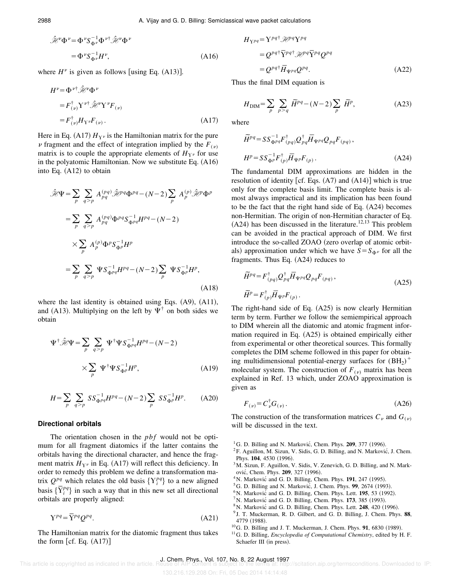$$
\hat{\mathcal{H}}^{\nu} \Phi^{\nu} = \Phi^{\nu} S_{\Phi^{\nu}}^{-1} \Phi^{\nu \dagger} \hat{\mathcal{H}}^{\nu} \Phi^{\nu}
$$

$$
= \Phi^{\nu} S_{\Phi^{\nu}}^{-1} H^{\nu}, \tag{A16}
$$

where  $H^{\nu}$  is given as follows [using Eq. (A13)].

$$
H^{\nu} = \Phi^{\nu \dagger} \hat{\mathcal{H}}^{\nu} \Phi^{\nu}
$$
  
=  $F^{\dagger}_{(\nu)} Y^{\nu \dagger} \hat{\mathcal{H}}^{\nu} Y^{\nu} F_{(\nu)}$   
=  $F^{\dagger}_{(\nu)} H_{Y^{\nu}} F_{(\nu)}$ . (A17)

Here in Eq. (A17)  $H_{Y}$ <sup>*v*</sup> is the Hamiltonian matrix for the pure  $\nu$  fragment and the effect of integration implied by the  $F_{(\nu)}$ matrix is to couple the appropriate elements of  $H_{Y^{\nu}}$  for use in the polyatomic Hamiltonian. Now we substitute Eq.  $(A16)$ into Eq.  $(A12)$  to obtain

$$
\hat{\mathcal{H}}\Psi = \sum_{p} \sum_{q>p} A_{pq}^{(pq)} \hat{\mathcal{H}}^{pq} \Phi^{pq} - (N-2) \sum_{p} A_{p}^{(p)} \hat{\mathcal{H}}^{p} \Phi^{p}
$$

$$
= \sum_{p} \sum_{q>p} A_{pq}^{(pq)} \Phi^{pq} S_{\Phi^{pq}}^{-1} H^{pq} - (N-2)
$$

$$
\times \sum_{p} A_{p}^{(p)} \Phi^{p} S_{\Phi^{p}}^{-1} H^{p}
$$

$$
= \sum_{p} \sum_{q>p} \Psi S_{\Phi^{pq}}^{-1} H^{pq} - (N-2) \sum_{p} \Psi S_{\Phi^{p}}^{-1} H^{p},
$$
(A18)

where the last identity is obtained using Eqs.  $(A9)$ ,  $(A11)$ , and (A13). Multiplying on the left by  $\Psi^{\dagger}$  on both sides we obtain

$$
\Psi^{\dagger} \hat{\mathcal{H}} \Psi = \sum_{p} \sum_{q > p} \Psi^{\dagger} \Psi S_{\Phi^{pq}}^{-1} H^{pq} - (N - 2)
$$

$$
\times \sum_{p} \Psi^{\dagger} \Psi S_{\Phi^{p}}^{-1} H^{p}, \tag{A19}
$$

$$
H = \sum_{p} \sum_{q > p} SS_{\Phi^{pq}}^{-1} H^{pq} - (N - 2) \sum_{p} SS_{\Phi^{p}}^{-1} H^{p}.
$$
 (A20)

#### **Directional orbitals**

The orientation chosen in the *pbf* would not be optimum for all fragment diatomics if the latter contains the orbitals having the directional character, and hence the fragment matrix  $H_{\gamma \nu}$  in Eq. (A17) will reflect this deficiency. In order to remedy this problem we define a transformation matrix  $Q^{pq}$  which relates the old basis  $\{Y_i^{pq}\}$  to a new aligned frix  $Q^{r,q}$  which relates the old basis { $Y_i^q$ } to a new aligned basis { $\overline{Y}_i^{pq}$ } in such a way that in this new set all directional orbitals are properly aligned:

$$
Y^{pq} = \overline{Y}^{pq} Q^{pq}.
$$
 (A21)

The Hamiltonian matrix for the diatomic fragment thus takes the form  $[cf. Eq. (A17)]$ 

$$
H_{Ypq} = Y^{pq\dagger} \mathcal{H}^{pq} Y^{pq}
$$
  
=  $Q^{pq\dagger} \overline{Y}^{pq\dagger} \mathcal{H}^{pq} \overline{Y}^{pq} Q^{pq}$   
=  $Q^{pq\dagger} \overline{H}_{\Psi^{pq}} Q^{pq}$ . (A22)

Thus the final DIM equation is

$$
H_{\text{DIM}} = \sum_{p} \sum_{p>q} \widetilde{H}^{pq} - (N-2) \sum_{p} \widetilde{H}^{p}, \tag{A23}
$$

where

$$
\widetilde{H}^{pq} = SS_{\Phi^{pq}}^{-1} F^{\dagger}_{(pq)} Q_{pq}^{\dagger} \overline{H}_{\Psi^{pq}} Q_{pq} F_{(pq)},
$$
\n
$$
H^{p} = SS_{\Phi^{p}}^{-1} F^{\dagger}_{(p)} \overline{H}_{\Psi^{p}} F_{(p)}.
$$
\n(A24)

The fundamental DIM approximations are hidden in the resolution of identity [cf. Eqs.  $(A7)$  and  $(A14)$ ] which is true only for the complete basis limit. The complete basis is almost always impractical and its implication has been found to be the fact that the right hand side of Eq.  $(A24)$  becomes non-Hermitian. The origin of non-Hermitian character of Eq.  $(A24)$  has been discussed in the literature.<sup>12,13</sup> This problem can be avoided in the practical approach of DIM. We first introduce the so-called ZOAO (zero overlap of atomic orbitals) approximation under which we have  $S = S_{\Phi^{\nu}}$  for all the fragments. Thus Eq.  $(A24)$  reduces to

$$
\widetilde{H}^{pq} = F^{\dagger}_{(pq)} Q^{\dagger}_{pq} \overline{H}_{\Psi^{pq}} Q_{pq} F_{(pq)},
$$
\n
$$
\widetilde{H}^{p} = F^{\dagger}_{(p)} \overline{H}_{\Psi^{p}} F_{(p)}.
$$
\n(A25)

The right-hand side of Eq.  $(A25)$  is now clearly Hermitian term by term. Further we follow the semiempirical approach to DIM wherein all the diatomic and atomic fragment information required in Eq.  $(A25)$  is obtained empirically either from experimental or other theoretical sources. This formally completes the DIM scheme followed in this paper for obtaining multidimensional potential-energy surfaces for  $(BH_2)^+$ molecular system. The construction of  $F_{(v)}$  matrix has been explained in Ref. 13 which, under ZOAO approximation is given as

$$
F_{(\nu)} = C_{\nu}^{\dagger} G_{(\nu)} \,. \tag{A26}
$$

The construction of the transformation matrices  $C_v$  and  $G_{(v)}$ will be discussed in the text.

- $^{1}$ G. D. Billing and N. Marković, Chem. Phys. **209**, 377 (1996).
- <sup>2</sup>F. Aguillon, M. Sizun, V. Sidis, G. D. Billing, and N. Marković, J. Chem. Phys. 104, 4530 (1996).
- $3$ M. Sizun, F. Aguillon, V. Sidis, V. Zenevich, G. D. Billing, and N. Marković, Chem. Phys. **209**, 327 (1996).
- $4$ N. Marković and G. D. Billing, Chem. Phys. **191**, 247 (1995).
- ${}^{5}$ G. D. Billing and N. Marković, J. Chem. Phys. **99**, 2674 (1993).
- ${}^{6}$ N. Markovic ${}^{6}$  and G. D. Billing, Chem. Phys. Lett. **195**, 53 (1992).
- ${}^{7}$ N. Marković and G. D. Billing, Chem. Phys. **173**, 385 (1993).
- <sup>8</sup> N. Marković and G. D. Billing, Chem. Phys. Lett. **248**, 420 (1996).
- 9 J. T. Muckerman, R. D. Gilbert, and G. D. Billing, J. Chem. Phys. **88**, 4779 (1988).
- <sup>10</sup>G. D. Billing and J. T. Muckerman, J. Chem. Phys. **91**, 6830 (1989).
- <sup>11</sup>G. D. Billing, *Encyclopedia of Computational Chemistry*, edited by H. F. Schaefer III (in press).

J. Chem. Phys., Vol. 107, No. 8, 22 August 1997<br>This article is copyrighted as indicated in the article. Reuse of AIP content is subject to the terms at: http://scitation.aip.org/termsconditions. Downloaded to IP: